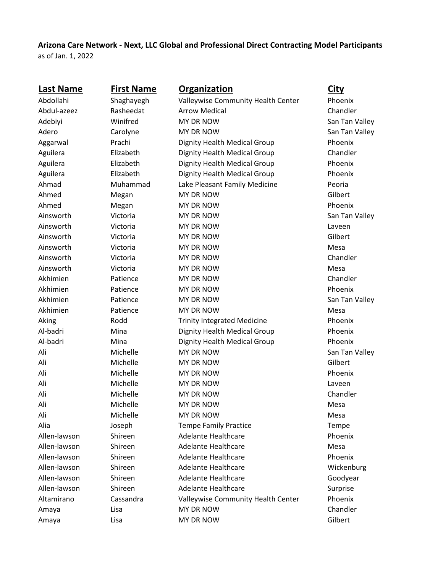**Arizona Care Network - Next, LLC Global and Professional Direct Contracting Model Participants** as of Jan. 1, 2022

| <b>Last Name</b> | <b>First Name</b> | Organization                       | <b>City</b>    |
|------------------|-------------------|------------------------------------|----------------|
| Abdollahi        | Shaghayegh        | Valleywise Community Health Center | Phoenix        |
| Abdul-azeez      | Rasheedat         | <b>Arrow Medical</b>               | Chandler       |
| Adebiyi          | Winifred          | MY DR NOW                          | San Tan Valley |
| Adero            | Carolyne          | MY DR NOW                          | San Tan Valley |
| Aggarwal         | Prachi            | Dignity Health Medical Group       | Phoenix        |
| Aguilera         | Elizabeth         | Dignity Health Medical Group       | Chandler       |
| Aguilera         | Elizabeth         | Dignity Health Medical Group       | Phoenix        |
| Aguilera         | Elizabeth         | Dignity Health Medical Group       | Phoenix        |
| Ahmad            | Muhammad          | Lake Pleasant Family Medicine      | Peoria         |
| Ahmed            | Megan             | MY DR NOW                          | Gilbert        |
| Ahmed            | Megan             | MY DR NOW                          | Phoenix        |
| Ainsworth        | Victoria          | MY DR NOW                          | San Tan Valley |
| Ainsworth        | Victoria          | MY DR NOW                          | Laveen         |
| Ainsworth        | Victoria          | MY DR NOW                          | Gilbert        |
| Ainsworth        | Victoria          | MY DR NOW                          | Mesa           |
| Ainsworth        | Victoria          | MY DR NOW                          | Chandler       |
| Ainsworth        | Victoria          | MY DR NOW                          | Mesa           |
| Akhimien         | Patience          | MY DR NOW                          | Chandler       |
| Akhimien         | Patience          | MY DR NOW                          | Phoenix        |
| Akhimien         | Patience          | MY DR NOW                          | San Tan Valley |
| Akhimien         | Patience          | MY DR NOW                          | Mesa           |
| Aking            | Rodd              | <b>Trinity Integrated Medicine</b> | Phoenix        |
| Al-badri         | Mina              | Dignity Health Medical Group       | Phoenix        |
| Al-badri         | Mina              | Dignity Health Medical Group       | Phoenix        |
| Ali              | Michelle          | <b>MY DR NOW</b>                   | San Tan Valley |
| Ali              | Michelle          | MY DR NOW                          | Gilbert        |
| Ali              | Michelle          | MY DR NOW                          | Phoenix        |
| Ali              | Michelle          | MY DR NOW                          | Laveen         |
| Ali              | Michelle          | MY DR NOW                          | Chandler       |
| Ali              | Michelle          | MY DR NOW                          | Mesa           |
| Ali              | Michelle          | MY DR NOW                          | Mesa           |
| Alia             | Joseph            | <b>Tempe Family Practice</b>       | Tempe          |
| Allen-lawson     | Shireen           | <b>Adelante Healthcare</b>         | Phoenix        |
| Allen-lawson     | Shireen           | <b>Adelante Healthcare</b>         | Mesa           |
| Allen-lawson     | Shireen           | <b>Adelante Healthcare</b>         | Phoenix        |
| Allen-lawson     | Shireen           | <b>Adelante Healthcare</b>         | Wickenburg     |
| Allen-lawson     | Shireen           | <b>Adelante Healthcare</b>         | Goodyear       |
| Allen-lawson     | Shireen           | <b>Adelante Healthcare</b>         | Surprise       |
| Altamirano       | Cassandra         | Valleywise Community Health Center | Phoenix        |
| Amaya            | Lisa              | MY DR NOW                          | Chandler       |
| Amaya            | Lisa              | MY DR NOW                          | Gilbert        |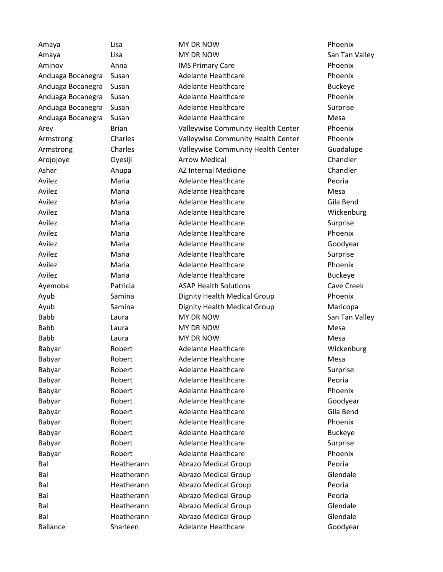| Amaya             | Lisa         | <b>MY DR NOW</b>                   | Phoenix        |
|-------------------|--------------|------------------------------------|----------------|
| Amaya             | Lisa         | <b>MY DR NOW</b>                   | San Tan Valley |
| Aminov            | Anna         | <b>IMS Primary Care</b>            | Phoenix        |
| Anduaga Bocanegra | Susan        | <b>Adelante Healthcare</b>         | Phoenix        |
| Anduaga Bocanegra | Susan        | <b>Adelante Healthcare</b>         | <b>Buckeye</b> |
| Anduaga Bocanegra | Susan        | <b>Adelante Healthcare</b>         | Phoenix        |
| Anduaga Bocanegra | Susan        | <b>Adelante Healthcare</b>         | Surprise       |
| Anduaga Bocanegra | Susan        | <b>Adelante Healthcare</b>         | Mesa           |
| Arey              | <b>Brian</b> | Valleywise Community Health Center | Phoenix        |
| Armstrong         | Charles      | Valleywise Community Health Center | Phoenix        |
| Armstrong         | Charles      | Valleywise Community Health Center | Guadalupe      |
| Arojojoye         | Oyesiji      | <b>Arrow Medical</b>               | Chandler       |
| Ashar             | Anupa        | AZ Internal Medicine               | Chandler       |
| Avilez            | Maria        | <b>Adelante Healthcare</b>         | Peoria         |
| Avilez            | Maria        | <b>Adelante Healthcare</b>         | Mesa           |
| Avilez            | Maria        | <b>Adelante Healthcare</b>         | Gila Bend      |
| Avilez            | Maria        | <b>Adelante Healthcare</b>         | Wickenburg     |
| Avilez            | Maria        | <b>Adelante Healthcare</b>         | Surprise       |
| Avilez            | Maria        | <b>Adelante Healthcare</b>         | Phoenix        |
| Avilez            | Maria        | <b>Adelante Healthcare</b>         | Goodyear       |
| Avilez            | Maria        | Adelante Healthcare                | Surprise       |
| Avilez            | Maria        | <b>Adelante Healthcare</b>         | Phoenix        |
| Avilez            | Maria        | <b>Adelante Healthcare</b>         | <b>Buckeye</b> |
| Ayemoba           | Patricia     | <b>ASAP Health Solutions</b>       | Cave Creek     |
| Ayub              | Samina       | Dignity Health Medical Group       | Phoenix        |
| Ayub              | Samina       | Dignity Health Medical Group       | Maricopa       |
| <b>Babb</b>       | Laura        | MY DR NOW                          | San Tan Valley |
| <b>Babb</b>       | Laura        | MY DR NOW                          | Mesa           |
| <b>Babb</b>       | Laura        | <b>MY DR NOW</b>                   | Mesa           |
| Babyar            | Robert       | <b>Adelante Healthcare</b>         | Wickenburg     |
| Babyar            | Robert       | <b>Adelante Healthcare</b>         | Mesa           |
| Babyar            | Robert       | <b>Adelante Healthcare</b>         | Surprise       |
| Babyar            | Robert       | <b>Adelante Healthcare</b>         | Peoria         |
| Babyar            | Robert       | <b>Adelante Healthcare</b>         | Phoenix        |
| Babyar            | Robert       | <b>Adelante Healthcare</b>         | Goodyear       |
| Babyar            | Robert       | <b>Adelante Healthcare</b>         | Gila Bend      |
| Babyar            | Robert       | <b>Adelante Healthcare</b>         | Phoenix        |
| Babyar            | Robert       | <b>Adelante Healthcare</b>         | <b>Buckeye</b> |
| Babyar            | Robert       | <b>Adelante Healthcare</b>         | Surprise       |
| Babyar            | Robert       | <b>Adelante Healthcare</b>         | Phoenix        |
| Bal               | Heatherann   | <b>Abrazo Medical Group</b>        | Peoria         |
| Bal               | Heatherann   | <b>Abrazo Medical Group</b>        | Glendale       |
| Bal               | Heatherann   | <b>Abrazo Medical Group</b>        | Peoria         |
| Bal               | Heatherann   | <b>Abrazo Medical Group</b>        | Peoria         |
| Bal               | Heatherann   | <b>Abrazo Medical Group</b>        | Glendale       |
| Bal               | Heatherann   | <b>Abrazo Medical Group</b>        | Glendale       |
| <b>Ballance</b>   | Sharleen     | <b>Adelante Healthcare</b>         | Goodyear       |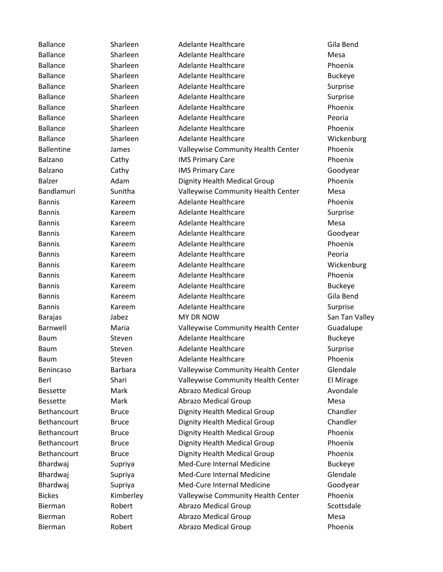Ballance Sharleen Adelante Healthcare Gila Bend Ballance Sharleen Adelante Healthcare Mesa Ballance Sharleen Adelante Healthcare Phoenix Ballance Sharleen Adelante Healthcare Buckeye Ballance Sharleen Adelante Healthcare Surprise Ballance Sharleen Adelante Healthcare Surprise Ballance Sharleen Adelante Healthcare Phoenix Ballance Sharleen Adelante Healthcare Peoria Ballance Sharleen Adelante Healthcare Sharleen Sharleen Adelante Healthcare Sharle Ballance Sharleen Adelante Healthcare Sharleen Sharleen Adelante Healthcare Sharle Ballentine James Valleywise Community Health Center Phoenix Balzano Cathy IMS Primary Care Phoenix Balzano Cathy IMS Primary Care Coodyear Balzer **Adam** Dignity Health Medical Group Phoenix Bandlamuri Sunitha Valleywise Community Health Center Mesa Bannis Kareem Adelante Healthcare Phoenix Bannis **Kareem** Adelante Healthcare Surprise Bannis **Kareem** Adelante Healthcare **Mesa** Mesa Bannis **Kareem** Adelante Healthcare **Coodyear** Goodyear Bannis Kareem Adelante Healthcare Phoenix Bannis Kareem Adelante Healthcare Peoria Bannis **Kareem** Adelante Healthcare **Mickenburg** Adelante Healthcare **Wickenburg** Bannis Kareem Adelante Healthcare Phoenix Bannis **Kareem Adelante Healthcare** Buckeye Bannis **Kareem** Adelante Healthcare Gila Bend Bannis **Kareem** Adelante Healthcare **Surprise** Surprise Barajas Jabez MY DR NOW San Tan Valley Barnwell Maria Valleywise Community Health Center Guadalupe Baum Steven Adelante Healthcare **Buckeye** Baum Steven Adelante Healthcare Surprise Baum Steven Adelante Healthcare **Steven** Adelante Healthcare Benincaso Barbara Valleywise Community Health Center Glendale Berl Shari Valleywise Community Health Center El Mirage Bessette Mark Abrazo Medical Group Avondale Bessette Mark Abrazo Medical Group Mesa Bethancourt Bruce Dignity Health Medical Group Chandler Bethancourt Bruce Dignity Health Medical Group Chandler Bethancourt Bruce Dignity Health Medical Group Phoenix Bethancourt Bruce Dignity Health Medical Group Phoenix Bethancourt Bruce Dignity Health Medical Group Phoenix Bhardwaj Supriya Med-Cure Internal Medicine Buckeye Bhardwaj Supriya Med-Cure Internal Medicine Glendale Bhardwaj Supriya Med-Cure Internal Medicine Goodyear Bickes **Kimberley** Valleywise Community Health Center Phoenix Bierman Robert Abrazo Medical Group Scottsdale Bierman Robert Abrazo Medical Group Mesa Bierman Robert Abrazo Medical Group Phoenix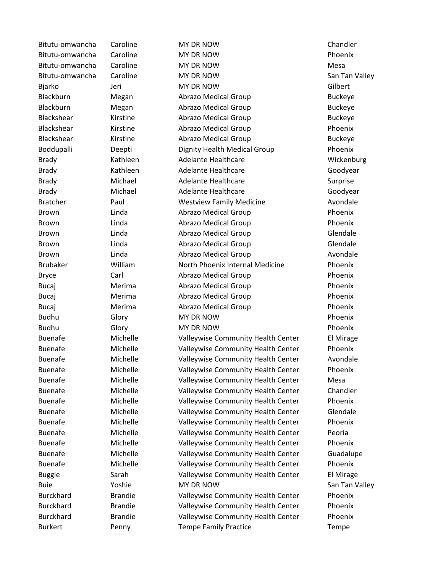Bitutu-omwancha Caroline MY DR NOW Chandler Bitutu-omwancha Caroline MY DR NOW Phoenix Bitutu-omwancha Caroline MY DR NOW Mesa Bitutu-omwancha Caroline MY DR NOW San Tan Valley Bjarko Jeri MY DR NOW Gilbert Blackburn Megan Abrazo Medical Group Buckeye Blackburn Megan Abrazo Medical Group Buckeye Blackshear Kirstine Abrazo Medical Group Buckeye Blackshear **Kirstine** Abrazo Medical Group **Phoenix** Blackshear Kirstine Abrazo Medical Group Buckeye Boddupalli Deepti Dignity Health Medical Group Phoenix Brady **Kathleen** Adelante Healthcare **Mickenburg** Brady **Kathleen** Adelante Healthcare **Goodyear** Goodyear Brady Michael Adelante Healthcare Surprise Brady **Michael Adelante Healthcare** Goodyear Bratcher **Paul Paul Westview Family Medicine** Avondale Brown Linda Abrazo Medical Group Phoenix Brown Linda Abrazo Medical Group Phoenix Brown **Example 2 Linda Abrazo Medical Group Clendale** Brown Linda Abrazo Medical Group Glendale Brown **Example 2** Linda **Abrazo Medical Group Avondale** Brubaker William North Phoenix Internal Medicine Phoenix Bryce Carl Carl Abrazo Medical Group Phoenix Bucaj Merima Abrazo Medical Group Phoenix Bucaj Merima Abrazo Medical Group Phoenix Bucaj Merima Abrazo Medical Group Phoenix Budhu Glory MY DR NOW **Phoenix** Budhu Glory MY DR NOW Phoenix Buenafe Michelle Valleywise Community Health Center El Mirage Buenafe Michelle Valleywise Community Health Center Phoenix Buenafe Michelle Valleywise Community Health Center Avondale Buenafe **Michelle** Valleywise Community Health Center Phoenix Buenafe Michelle Valleywise Community Health Center Mesa Buenafe Michelle Valleywise Community Health Center Chandler Buenafe **Michelle** Valleywise Community Health Center Phoenix Buenafe Michelle Valleywise Community Health Center Glendale Buenafe Michelle Valleywise Community Health Center Phoenix Buenafe Michelle Valleywise Community Health Center Peoria Buenafe Michelle Valleywise Community Health Center Phoenix Buenafe Michelle Valleywise Community Health Center Guadalupe Buenafe Michelle Valleywise Community Health Center Phoenix Buggle Sarah Valleywise Community Health Center El Mirage Buie 1988 - MY DR NOW San Tan Valley Burckhard Brandie Valleywise Community Health Center Phoenix Burckhard Brandie Valleywise Community Health Center Phoenix Burckhard Brandie Valleywise Community Health Center Phoenix Burkert **The Penny Tempe Family Practice** Tempe Family Practice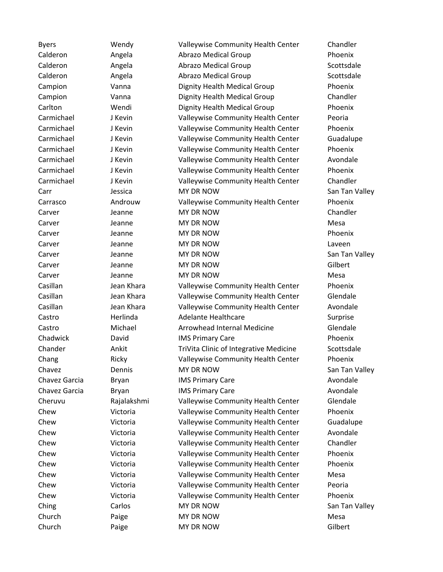Byers Wendy Valleywise Community Health Center Chandler Calderon Angela Abrazo Medical Group Phoenix Calderon **Angela** Abrazo Medical Group **Abrazo Abrazo Medical Accepts** Scottsdale Calderon Angela Abrazo Medical Group Scottsdale Campion Vanna Dignity Health Medical Group Phoenix Campion Vanna Dignity Health Medical Group Chandler Carlton Wendi Dignity Health Medical Group Phoenix Carmichael J Kevin Valleywise Community Health Center Peoria Carmichael J Kevin Valleywise Community Health Center Phoenix Carmichael J Kevin Valleywise Community Health Center Guadalupe Carmichael J Kevin Valleywise Community Health Center Phoenix Carmichael J Kevin Valleywise Community Health Center Avondale Carmichael J Kevin Valleywise Community Health Center Phoenix Carmichael J Kevin Valleywise Community Health Center Chandler Carr Jessica MY DR NOW San Tan Valley Carrasco Androuw Valleywise Community Health Center Phoenix Carver **Carver Communist Communist Chandler** MY DR NOW Chandler Carver Jeanne MY DR NOW Mesa Carver **Carver Carver Carver Carver Carver Carver Account Carver Account Carver Account Carver Account Carver Account Carver Account Carver Account Carver Account Carver Account Carver Account Carver Account Carver Account** Carver **Carver Carver Carver Carver Carver Carver Carver Carver Carver Carver Carver Carver Carver Carver Carver Carver Carver Carver Carver Carver Carver Carver Carver Carver Carver Carver Carver Carver Carver Carver Carv** Carver Jeanne MY DR NOW San Tan Valley Carver Jeanne MY DR NOW Gilbert Carver Jeanne MY DR NOW Mesa Casillan Jean Khara Valleywise Community Health Center Phoenix Casillan Jean Khara Valleywise Community Health Center Glendale Casillan Jean Khara Valleywise Community Health Center Avondale Castro **Manuel Herlinda** Adelante Healthcare **Adelahe Healthcare** Surprise Castro Michael Arrowhead Internal Medicine Glendale Chadwick David IMS Primary Care Phoenix Chander **Ankit** Ankit TriVita Clinic of Integrative Medicine Scottsdale Chang **Ricky Ricky** Valleywise Community Health Center Phoenix Chavez Dennis MY DR NOW San Tan Valley Chavez Garcia Bryan **IMS Primary Care Avondale** Avondale Chavez Garcia Bryan IMS Primary Care Avondale Cheruvu Rajalakshmi Valleywise Community Health Center Glendale Chew Victoria Valleywise Community Health Center Phoenix Chew Victoria Valleywise Community Health Center Guadalupe Chew Victoria Valleywise Community Health Center Avondale Chew Victoria Valleywise Community Health Center Chandler Chew Victoria Valleywise Community Health Center Phoenix Chew Victoria Valleywise Community Health Center Phoenix Chew Victoria Valleywise Community Health Center Mesa Chew Victoria Valleywise Community Health Center Peoria Chew Victoria Valleywise Community Health Center Phoenix Ching Carlos Carlos MY DR NOW San Tan Valley Church **Paige** MY DR NOW **MACHON MESA** Church Paige MY DR NOW Gilbert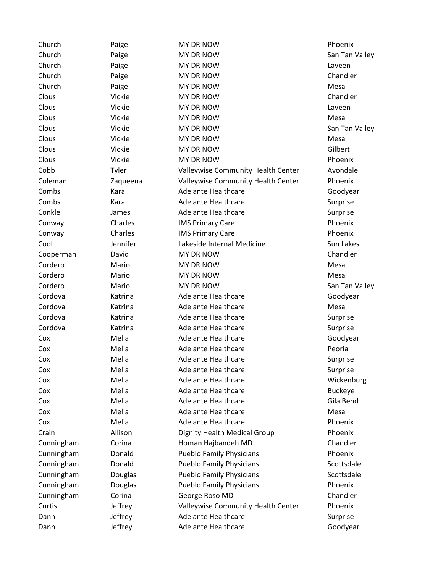| Church     | Paige    | MY DR NOW                          | Phoenix        |
|------------|----------|------------------------------------|----------------|
| Church     | Paige    | MY DR NOW                          | San Tan Valley |
| Church     | Paige    | MY DR NOW                          | Laveen         |
| Church     | Paige    | MY DR NOW                          | Chandler       |
| Church     | Paige    | MY DR NOW                          | Mesa           |
| Clous      | Vickie   | MY DR NOW                          | Chandler       |
| Clous      | Vickie   | MY DR NOW                          | Laveen         |
| Clous      | Vickie   | MY DR NOW                          | Mesa           |
| Clous      | Vickie   | MY DR NOW                          | San Tan Valley |
| Clous      | Vickie   | MY DR NOW                          | Mesa           |
| Clous      | Vickie   | MY DR NOW                          | Gilbert        |
| Clous      | Vickie   | MY DR NOW                          | Phoenix        |
| Cobb       | Tyler    | Valleywise Community Health Center | Avondale       |
| Coleman    | Zaqueena | Valleywise Community Health Center | Phoenix        |
| Combs      | Kara     | <b>Adelante Healthcare</b>         | Goodyear       |
| Combs      | Kara     | <b>Adelante Healthcare</b>         | Surprise       |
| Conkle     | James    | <b>Adelante Healthcare</b>         | Surprise       |
| Conway     | Charles  | <b>IMS Primary Care</b>            | Phoenix        |
| Conway     | Charles  | <b>IMS Primary Care</b>            | Phoenix        |
| Cool       | Jennifer | Lakeside Internal Medicine         | Sun Lakes      |
| Cooperman  | David    | MY DR NOW                          | Chandler       |
| Cordero    | Mario    | MY DR NOW                          | Mesa           |
| Cordero    | Mario    | MY DR NOW                          | Mesa           |
| Cordero    | Mario    | MY DR NOW                          | San Tan Valley |
| Cordova    | Katrina  | <b>Adelante Healthcare</b>         | Goodyear       |
| Cordova    | Katrina  | <b>Adelante Healthcare</b>         | Mesa           |
| Cordova    | Katrina  | <b>Adelante Healthcare</b>         | Surprise       |
| Cordova    | Katrina  | <b>Adelante Healthcare</b>         | Surprise       |
| Cox        | Melia    | <b>Adelante Healthcare</b>         | Goodyear       |
| Cox        | Melia    | <b>Adelante Healthcare</b>         | Peoria         |
| Cox        | Melia    | <b>Adelante Healthcare</b>         | Surprise       |
| Cox        | Melia    | <b>Adelante Healthcare</b>         | Surprise       |
| Cox        | Melia    | <b>Adelante Healthcare</b>         | Wickenburg     |
| Cox        | Melia    | <b>Adelante Healthcare</b>         | <b>Buckeye</b> |
| Cox        | Melia    | <b>Adelante Healthcare</b>         | Gila Bend      |
| Cox        | Melia    | <b>Adelante Healthcare</b>         | Mesa           |
| Cox        | Melia    | <b>Adelante Healthcare</b>         | Phoenix        |
| Crain      | Allison  | Dignity Health Medical Group       | Phoenix        |
| Cunningham | Corina   | Homan Hajbandeh MD                 | Chandler       |
| Cunningham | Donald   | <b>Pueblo Family Physicians</b>    | Phoenix        |
| Cunningham | Donald   | <b>Pueblo Family Physicians</b>    | Scottsdale     |
| Cunningham | Douglas  | <b>Pueblo Family Physicians</b>    | Scottsdale     |
| Cunningham | Douglas  | <b>Pueblo Family Physicians</b>    | Phoenix        |
| Cunningham | Corina   | George Roso MD                     | Chandler       |
| Curtis     | Jeffrey  | Valleywise Community Health Center | Phoenix        |
| Dann       | Jeffrey  | <b>Adelante Healthcare</b>         | Surprise       |
| Dann       | Jeffrey  | Adelante Healthcare                | Goodyear       |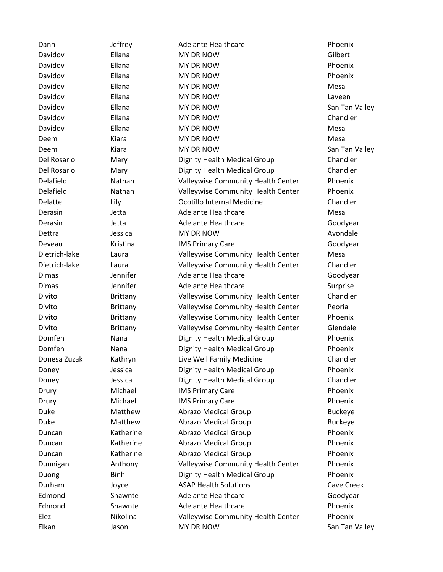| Dann          | Jeffrey         | Adelante Healthcare                | Phoenix        |
|---------------|-----------------|------------------------------------|----------------|
| Davidov       | Ellana          | MY DR NOW                          | Gilbert        |
| Davidov       | Ellana          | MY DR NOW                          | Phoenix        |
| Davidov       | Ellana          | MY DR NOW                          | Phoenix        |
| Davidov       | Ellana          | MY DR NOW                          | Mesa           |
| Davidov       | Ellana          | MY DR NOW                          | Laveen         |
| Davidov       | Ellana          | MY DR NOW                          | San Tan Valley |
| Davidov       | Ellana          | MY DR NOW                          | Chandler       |
| Davidov       | Ellana          | MY DR NOW                          | Mesa           |
| Deem          | Kiara           | MY DR NOW                          | Mesa           |
| Deem          | Kiara           | MY DR NOW                          | San Tan Valley |
| Del Rosario   | Mary            | Dignity Health Medical Group       | Chandler       |
| Del Rosario   | Mary            | Dignity Health Medical Group       | Chandler       |
| Delafield     | Nathan          | Valleywise Community Health Center | Phoenix        |
| Delafield     | Nathan          | Valleywise Community Health Center | Phoenix        |
| Delatte       | Lily            | Ocotillo Internal Medicine         | Chandler       |
| Derasin       | Jetta           | <b>Adelante Healthcare</b>         | Mesa           |
| Derasin       | Jetta           | <b>Adelante Healthcare</b>         | Goodyear       |
| Dettra        | Jessica         | MY DR NOW                          | Avondale       |
| Deveau        | Kristina        | <b>IMS Primary Care</b>            | Goodyear       |
| Dietrich-lake | Laura           | Valleywise Community Health Center | Mesa           |
| Dietrich-lake | Laura           | Valleywise Community Health Center | Chandler       |
| <b>Dimas</b>  | Jennifer        | <b>Adelante Healthcare</b>         | Goodyear       |
| <b>Dimas</b>  | Jennifer        | <b>Adelante Healthcare</b>         | Surprise       |
| Divito        | Brittany        | Valleywise Community Health Center | Chandler       |
| Divito        | Brittany        | Valleywise Community Health Center | Peoria         |
| Divito        | Brittany        | Valleywise Community Health Center | Phoenix        |
| Divito        | <b>Brittany</b> | Valleywise Community Health Center | Glendale       |
| Domfeh        | Nana            | Dignity Health Medical Group       | Phoenix        |
| Domfeh        | Nana            | Dignity Health Medical Group       | Phoenix        |
| Donesa Zuzak  | Kathryn         | Live Well Family Medicine          | Chandler       |
| Doney         | Jessica         | Dignity Health Medical Group       | Phoenix        |
| Doney         | Jessica         | Dignity Health Medical Group       | Chandler       |
| Drury         | Michael         | <b>IMS Primary Care</b>            | Phoenix        |
| Drury         | Michael         | <b>IMS Primary Care</b>            | Phoenix        |
| Duke          | Matthew         | <b>Abrazo Medical Group</b>        | <b>Buckeye</b> |
| Duke          | Matthew         | <b>Abrazo Medical Group</b>        | <b>Buckeye</b> |
| Duncan        | Katherine       | <b>Abrazo Medical Group</b>        | Phoenix        |
| Duncan        | Katherine       | <b>Abrazo Medical Group</b>        | Phoenix        |
| Duncan        | Katherine       | <b>Abrazo Medical Group</b>        | Phoenix        |
| Dunnigan      | Anthony         | Valleywise Community Health Center | Phoenix        |
| Duong         | <b>Binh</b>     | Dignity Health Medical Group       | Phoenix        |
| Durham        | Joyce           | <b>ASAP Health Solutions</b>       | Cave Creek     |
| Edmond        | Shawnte         | <b>Adelante Healthcare</b>         | Goodyear       |
| Edmond        | Shawnte         | <b>Adelante Healthcare</b>         | Phoenix        |
| Elez          | Nikolina        | Valleywise Community Health Center | Phoenix        |
| Elkan         | Jason           | MY DR NOW                          | San Tan Valley |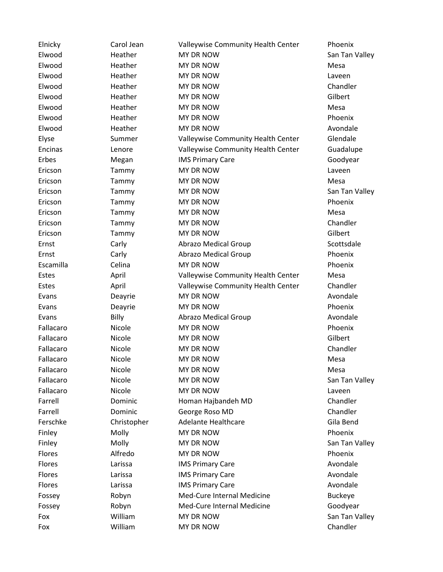| Elnicky       | Carol Jean  | Valleywise Community Health Center | Phoenix        |
|---------------|-------------|------------------------------------|----------------|
| Elwood        | Heather     | <b>MY DR NOW</b>                   | San Tan Valley |
| Elwood        | Heather     | MY DR NOW                          | Mesa           |
| Elwood        | Heather     | MY DR NOW                          | Laveen         |
| Elwood        | Heather     | MY DR NOW                          | Chandler       |
| Elwood        | Heather     | MY DR NOW                          | Gilbert        |
| Elwood        | Heather     | MY DR NOW                          | Mesa           |
| Elwood        | Heather     | MY DR NOW                          | Phoenix        |
| Elwood        | Heather     | <b>MY DR NOW</b>                   | Avondale       |
| Elyse         | Summer      | Valleywise Community Health Center | Glendale       |
| Encinas       | Lenore      | Valleywise Community Health Center | Guadalupe      |
| Erbes         | Megan       | <b>IMS Primary Care</b>            | Goodyear       |
| Ericson       | Tammy       | MY DR NOW                          | Laveen         |
| Ericson       | Tammy       | MY DR NOW                          | Mesa           |
| Ericson       | Tammy       | MY DR NOW                          | San Tan Valley |
| Ericson       | Tammy       | MY DR NOW                          | Phoenix        |
| Ericson       | Tammy       | MY DR NOW                          | Mesa           |
| Ericson       | Tammy       | MY DR NOW                          | Chandler       |
| Ericson       | Tammy       | MY DR NOW                          | Gilbert        |
| Ernst         | Carly       | <b>Abrazo Medical Group</b>        | Scottsdale     |
| Ernst         | Carly       | <b>Abrazo Medical Group</b>        | Phoenix        |
| Escamilla     | Celina      | MY DR NOW                          | Phoenix        |
| Estes         | April       | Valleywise Community Health Center | Mesa           |
| Estes         | April       | Valleywise Community Health Center | Chandler       |
| Evans         | Deayrie     | MY DR NOW                          | Avondale       |
| Evans         | Deayrie     | MY DR NOW                          | Phoenix        |
| Evans         | Billy       | <b>Abrazo Medical Group</b>        | Avondale       |
| Fallacaro     | Nicole      | MY DR NOW                          | Phoenix        |
| Fallacaro     | Nicole      | MY DR NOW                          | Gilbert        |
| Fallacaro     | Nicole      | MY DR NOW                          | Chandler       |
| Fallacaro     | Nicole      | MY DR NOW                          | Mesa           |
| Fallacaro     | Nicole      | MY DR NOW                          | Mesa           |
| Fallacaro     | Nicole      | MY DR NOW                          | San Tan Valley |
| Fallacaro     | Nicole      | MY DR NOW                          | Laveen         |
| Farrell       | Dominic     | Homan Hajbandeh MD                 | Chandler       |
| Farrell       | Dominic     | George Roso MD                     | Chandler       |
| Ferschke      | Christopher | <b>Adelante Healthcare</b>         | Gila Bend      |
| Finley        | Molly       | MY DR NOW                          | Phoenix        |
| Finley        | Molly       | MY DR NOW                          | San Tan Valley |
| Flores        | Alfredo     | MY DR NOW                          | Phoenix        |
| <b>Flores</b> | Larissa     | <b>IMS Primary Care</b>            | Avondale       |
| Flores        | Larissa     | <b>IMS Primary Care</b>            | Avondale       |
| Flores        | Larissa     | <b>IMS Primary Care</b>            | Avondale       |
| Fossey        | Robyn       | Med-Cure Internal Medicine         | <b>Buckeye</b> |
| Fossey        | Robyn       | Med-Cure Internal Medicine         | Goodyear       |
| Fox           | William     | MY DR NOW                          | San Tan Valley |
| Fox           | William     | MY DR NOW                          | Chandler       |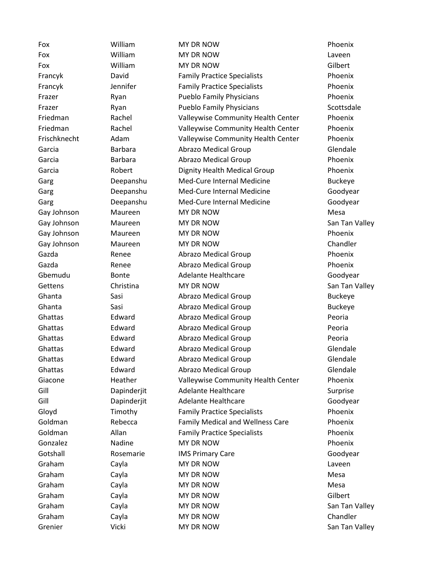Fox **MILLIAM MY DR NOW Phoenix** Fox **William** MY DR NOW **NOW** Laveen Fox William MY DR NOW Gilbert Francyk David Family Practice Specialists Phoenix Francyk Jennifer Family Practice Specialists Phoenix Frazer **Ryan Ryan Pueblo Family Physicians** Phoenix Frazer Ryan Ryan Pueblo Family Physicians Scottsdale Friedman Rachel Valleywise Community Health Center Phoenix Friedman Rachel Valleywise Community Health Center Phoenix Frischknecht Adam Valleywise Community Health Center Phoenix Garcia Barbara Abrazo Medical Group Glendale Garcia **Barbara** Barbara **Abrazo Medical Group Phoenix** Garcia Robert Dignity Health Medical Group Phoenix Garg Deepanshu Med-Cure Internal Medicine Buckeye Garg Deepanshu Med-Cure Internal Medicine Goodyear Garg **Deepanshu** Med-Cure Internal Medicine Goodyear Gay Johnson Maureen MY DR NOW Mesa Gay Johnson Maureen MY DR NOW San Tan Valley Gay Johnson Maureen MY DR NOW Phoenix Gay Johnson Maureen MY DR NOW Chandler Gazda Renee Abrazo Medical Group Phoenix Gazda Renee Abrazo Medical Group Phoenix Gbemudu Bonte Adelante Healthcare Goodyear Gettens Christina MY DR NOW San Tan Valley Ghanta Sasi Abrazo Medical Group Buckeye Ghanta Sasi Abrazo Medical Group Buckeye Ghattas **Edward** Abrazo Medical Group **Peoria** Ghattas Edward Abrazo Medical Group Peoria Ghattas Edward Abrazo Medical Group Peoria Ghattas **Edward** Abrazo Medical Group Glendale Ghattas Edward Abrazo Medical Group Glendale Ghattas **Edward** Abrazo Medical Group Glendale Giacone **Heather** Valleywise Community Health Center Phoenix Gill **Surprise Communist Communist Communist Communist Communist Communist Communist Communist Communist Communist Communist Communist Communist Communist Communist Communist Communist Communist Communist Communist Communi** Gill **Capinderjit** Adelante Healthcare Goodyear Gloyd Timothy Family Practice Specialists Phoenix Goldman **Rebecca** Family Medical and Wellness Care Phoenix Goldman Allan Family Practice Specialists Phoenix Gonzalez Nadine MY DR NOW Phoenix Gotshall **Rosemarie** IMS Primary Care Rosemarie Rosemarie **IMS** Primary Care Care Roseman Rose Rose Graham Cayla MY DR NOW Caween Graham Cayla MY DR NOW Mesa Graham Cayla MY DR NOW Cassette Mesa Graham Cayla MY DR NOW Gilbert Graham Cayla MY DR NOW San Tan Valley Graham Cayla Cayla MY DR NOW Chandler Grenier Vicki MY DR NOW San Tan Valley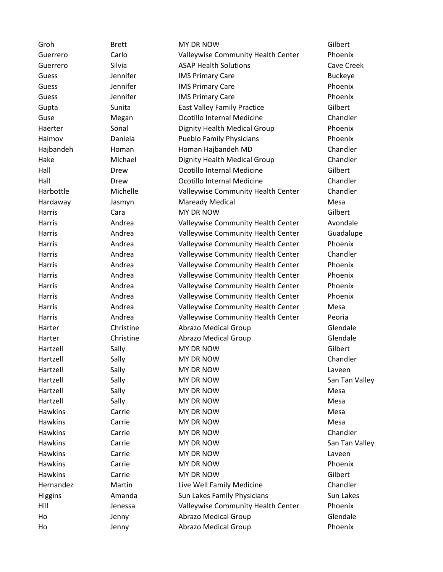| Groh           | <b>Brett</b> | MY DR NOW                          | Gilbert        |
|----------------|--------------|------------------------------------|----------------|
| Guerrero       | Carlo        | Valleywise Community Health Center | Phoenix        |
| Guerrero       | Silvia       | <b>ASAP Health Solutions</b>       | Cave Creek     |
| Guess          | Jennifer     | <b>IMS Primary Care</b>            | <b>Buckeye</b> |
| Guess          | Jennifer     | <b>IMS Primary Care</b>            | Phoenix        |
| Guess          | Jennifer     | <b>IMS Primary Care</b>            | Phoenix        |
| Gupta          | Sunita       | <b>East Valley Family Practice</b> | Gilbert        |
| Guse           | Megan        | Ocotillo Internal Medicine         | Chandler       |
| Haerter        | Sonal        | Dignity Health Medical Group       | Phoenix        |
| Haimov         | Daniela      | <b>Pueblo Family Physicians</b>    | Phoenix        |
| Hajbandeh      | Homan        | Homan Hajbandeh MD                 | Chandler       |
| Hake           | Michael      | Dignity Health Medical Group       | Chandler       |
| Hall           | Drew         | Ocotillo Internal Medicine         | Gilbert        |
| Hall           | Drew         | Ocotillo Internal Medicine         | Chandler       |
| Harbottle      | Michelle     | Valleywise Community Health Center | Chandler       |
| Hardaway       | Jasmyn       | <b>Maready Medical</b>             | Mesa           |
| Harris         | Cara         | MY DR NOW                          | Gilbert        |
| Harris         | Andrea       | Valleywise Community Health Center | Avondale       |
| Harris         | Andrea       | Valleywise Community Health Center | Guadalupe      |
| Harris         | Andrea       | Valleywise Community Health Center | Phoenix        |
| Harris         | Andrea       | Valleywise Community Health Center | Chandler       |
| Harris         | Andrea       | Valleywise Community Health Center | Phoenix        |
| Harris         | Andrea       | Valleywise Community Health Center | Phoenix        |
| Harris         | Andrea       | Valleywise Community Health Center | Phoenix        |
| Harris         | Andrea       | Valleywise Community Health Center | Phoenix        |
| Harris         | Andrea       | Valleywise Community Health Center | Mesa           |
| Harris         | Andrea       | Valleywise Community Health Center | Peoria         |
| Harter         | Christine    | <b>Abrazo Medical Group</b>        | Glendale       |
| Harter         | Christine    | <b>Abrazo Medical Group</b>        | Glendale       |
| Hartzell       | Sally        | MY DR NOW                          | Gilbert        |
| Hartzell       | Sally        | MY DR NOW                          | Chandler       |
| Hartzell       | Sally        | MY DR NOW                          | Laveen         |
| Hartzell       | Sally        | MY DR NOW                          | San Tan Valley |
| Hartzell       | Sally        | MY DR NOW                          | Mesa           |
| Hartzell       | Sally        | MY DR NOW                          | Mesa           |
| <b>Hawkins</b> | Carrie       | MY DR NOW                          | Mesa           |
| <b>Hawkins</b> | Carrie       | MY DR NOW                          | Mesa           |
| <b>Hawkins</b> | Carrie       | MY DR NOW                          | Chandler       |
| <b>Hawkins</b> | Carrie       | MY DR NOW                          | San Tan Valley |
| <b>Hawkins</b> | Carrie       | MY DR NOW                          | Laveen         |
| <b>Hawkins</b> | Carrie       | MY DR NOW                          | Phoenix        |
| <b>Hawkins</b> | Carrie       | MY DR NOW                          | Gilbert        |
| Hernandez      | Martin       | Live Well Family Medicine          | Chandler       |
| Higgins        | Amanda       | Sun Lakes Family Physicians        | Sun Lakes      |
| Hill           | Jenessa      | Valleywise Community Health Center | Phoenix        |
| Ho             | Jenny        | <b>Abrazo Medical Group</b>        | Glendale       |
| Ho             | Jenny        | <b>Abrazo Medical Group</b>        | Phoenix        |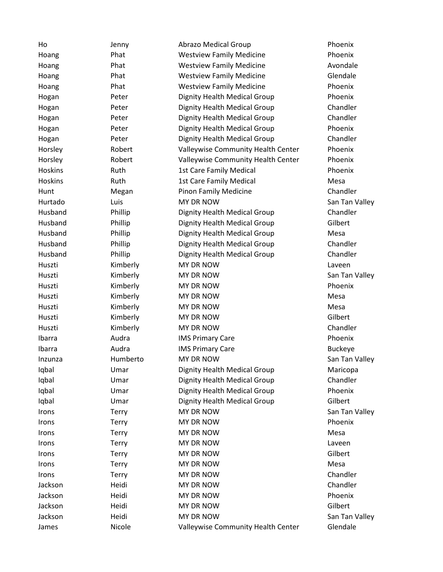Ho Jenny Abrazo Medical Group Phoenix Hoang Phat Westview Family Medicine Phoenix Hoang Phat Westview Family Medicine Avondale Hoang Phat Westview Family Medicine Glendale Hoang **Phat** Phat Westview Family Medicine **Phoenix** Hogan Peter Dignity Health Medical Group Phoenix Hogan **Peter** Dignity Health Medical Group Chandler Hogan **Peter** Dignity Health Medical Group Chandler Hogan Peter Dignity Health Medical Group Phoenix Hogan **Peter** Dignity Health Medical Group Chandler Horsley Robert Valleywise Community Health Center Phoenix Horsley Robert Valleywise Community Health Center Phoenix Hoskins **1st Care Family Medical** Phoenix **Phoenix** Hoskins Ruth 1st Care Family Medical Mesa Hunt Megan Pinon Family Medicine Chandler Hurtado Luis MY DR NOW San Tan Valley Husband Phillip Dignity Health Medical Group Chandler Husband Phillip Dignity Health Medical Group Gilbert Husband Phillip Dignity Health Medical Group Mesa Husband Phillip Dignity Health Medical Group Chandler Husband Phillip Dignity Health Medical Group Chandler Huszti Kimberly MY DR NOW Laveen Huszti Kimberly MY DR NOW San Tan Valley Huszti Kimberly MY DR NOW Phoenix Huszti Kimberly MY DR NOW Mesa Huszti **Kimberly MY DR NOW** Mesa Huszti Kimberly MY DR NOW Gilbert Huszti Kimberly MY DR NOW Chandler Ibarra **IMS Primary Care Care Phoenix Phoenix** Ibarra Audra IMS Primary Care Buckeye Inzunza Humberto MY DR NOW San Tan Valley Iqbal Umar Dignity Health Medical Group Maricopa Iqbal Umar Dignity Health Medical Group Chandler Iqbal Umar Dignity Health Medical Group Phoenix Iqbal Umar Dignity Health Medical Group Gilbert Irons Terry MY DR NOW San Tan Valley **Irons Terry MY DR NOW Phoenix** Irons Terry MY DR NOW Mesa Irons Terry MY DR NOW Laveen Irons Terry MY DR NOW Gilbert Irons **Terry** MY DR NOW **Mesa** Irons Terry MY DR NOW Chandler Jackson Heidi MY DR NOW Chandler Jackson Heidi MY DR NOW Phoenix Jackson Heidi MY DR NOW Gilbert Jackson Heidi MY DR NOW San Tan Valley James **Nicole Nicole** Valleywise Community Health Center Glendale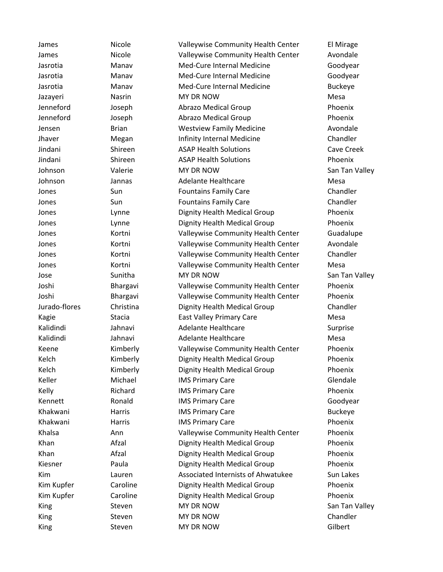James **Nicole Nicole** Valleywise Community Health Center **El Mirage** James Nicole Valleywise Community Health Center Avondale Jasrotia Manav Med-Cure Internal Medicine Goodyear Jasrotia Manav Med-Cure Internal Medicine Goodyear Jasrotia Manav Med-Cure Internal Medicine Buckeye Jazayeri Nasrin MY DR NOW Mesa Jenneford Joseph Abrazo Medical Group Phoenix Jenneford Joseph Abrazo Medical Group Phoenix Jensen Brian Westview Family Medicine Avondale Jhaver **Megan** Infinity Internal Medicine Chandler Jindani Shireen ASAP Health Solutions Cave Creek Jindani Shireen ASAP Health Solutions Phoenix Johnson Valerie MY DR NOW San Tan Valley Johnson Jannas Adelante Healthcare Mesa Jones Sun Fountains Family Care Chandler Jones Sun Fountains Family Care Chandler Jones Lynne Dignity Health Medical Group Phoenix Jones Lynne Dignity Health Medical Group Phoenix Jones **South Continents** Community Health Center Guadalupe Jones **South Auge Community Health Center** Avondale Jones Kortni Valleywise Community Health Center Chandler Jones **Kortni** Valleywise Community Health Center Mesa Jose Sunitha MY DR NOW San Tan Valley Joshi Bhargavi Valleywise Community Health Center Phoenix Joshi Bhargavi Valleywise Community Health Center Phoenix Jurado-flores Christina Dignity Health Medical Group Chandler Kagie Stacia East Valley Primary Care Stacia East Valley Primary Care State States Kalidindi Jahnavi Adelante Healthcare Surprise Kalidindi Jahnavi Adelante Healthcare Mesa Keene **Kimberly** Valleywise Community Health Center Phoenix Kelch Kimberly Dignity Health Medical Group Phoenix Kelch **Kimberly** Dignity Health Medical Group Phoenix Keller **Michael IMS Primary Care** Glendale Glendale Kelly Richard IMS Primary Care Phoenix Kennett **Ronald** IMS Primary Care **Care Goodyear** Goodyear Khakwani Harris IMS Primary Care Buckeye Khakwani **Harris** IMS Primary Care **National Accord Phoenix** Phoenix Khalsa **Ann** Ann Valleywise Community Health Center Phoenix Khan **Afzal** Dignity Health Medical Group Phoenix Khan **Afzal** Afzal Dignity Health Medical Group Phoenix Kiesner Paula Dignity Health Medical Group Phoenix Kim Lauren Associated Internists of Ahwatukee Sun Lakes Kim Kupfer Caroline Dignity Health Medical Group Phoenix Kim Kupfer **Caroline Caroline** Dignity Health Medical Group **Phoenix** King Steven MY DR NOW San Tan Valley King Steven MY DR NOW Schandler King Steven MY DR NOW Silbert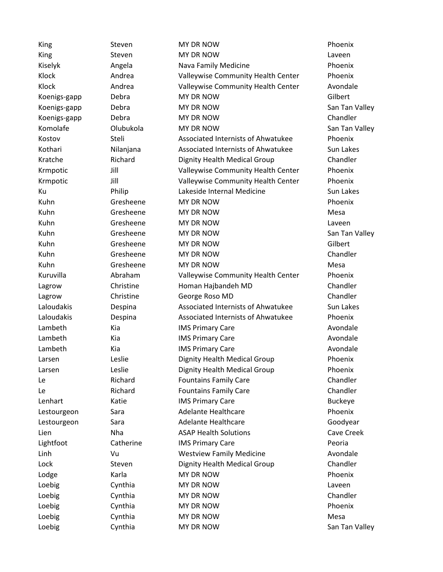| King         | Steven    | <b>MY DR NOW</b>                   | Phoenix        |
|--------------|-----------|------------------------------------|----------------|
| King         | Steven    | MY DR NOW                          | Laveen         |
| Kiselyk      | Angela    | Nava Family Medicine               | Phoenix        |
| Klock        | Andrea    | Valleywise Community Health Center | Phoenix        |
| Klock        | Andrea    | Valleywise Community Health Center | Avondale       |
| Koenigs-gapp | Debra     | MY DR NOW                          | Gilbert        |
| Koenigs-gapp | Debra     | MY DR NOW                          | San Tan Valley |
| Koenigs-gapp | Debra     | MY DR NOW                          | Chandler       |
| Komolafe     | Olubukola | MY DR NOW                          | San Tan Valley |
| Kostov       | Steli     | Associated Internists of Ahwatukee | Phoenix        |
| Kothari      | Nilanjana | Associated Internists of Ahwatukee | Sun Lakes      |
| Kratche      | Richard   | Dignity Health Medical Group       | Chandler       |
| Krmpotic     | Jill      | Valleywise Community Health Center | Phoenix        |
| Krmpotic     | Jill      | Valleywise Community Health Center | Phoenix        |
| Ku           | Philip    | Lakeside Internal Medicine         | Sun Lakes      |
| Kuhn         | Gresheene | MY DR NOW                          | Phoenix        |
| Kuhn         | Gresheene | MY DR NOW                          | Mesa           |
| Kuhn         | Gresheene | MY DR NOW                          | Laveen         |
| Kuhn         | Gresheene | MY DR NOW                          | San Tan Valley |
| Kuhn         | Gresheene | MY DR NOW                          | Gilbert        |
| Kuhn         | Gresheene | MY DR NOW                          | Chandler       |
| Kuhn         | Gresheene | MY DR NOW                          | Mesa           |
| Kuruvilla    | Abraham   | Valleywise Community Health Center | Phoenix        |
| Lagrow       | Christine | Homan Hajbandeh MD                 | Chandler       |
| Lagrow       | Christine | George Roso MD                     | Chandler       |
| Laloudakis   | Despina   | Associated Internists of Ahwatukee | Sun Lakes      |
| Laloudakis   | Despina   | Associated Internists of Ahwatukee | Phoenix        |
| Lambeth      | Kia       | <b>IMS Primary Care</b>            | Avondale       |
| Lambeth      | Kia       | <b>IMS Primary Care</b>            | Avondale       |
| Lambeth      | Kia       | <b>IMS Primary Care</b>            | Avondale       |
| Larsen       | Leslie    | Dignity Health Medical Group       | Phoenix        |
| Larsen       | Leslie    | Dignity Health Medical Group       | Phoenix        |
| Le           | Richard   | <b>Fountains Family Care</b>       | Chandler       |
| Le           | Richard   | <b>Fountains Family Care</b>       | Chandler       |
| Lenhart      | Katie     | <b>IMS Primary Care</b>            | <b>Buckeye</b> |
| Lestourgeon  | Sara      | <b>Adelante Healthcare</b>         | Phoenix        |
| Lestourgeon  | Sara      | <b>Adelante Healthcare</b>         | Goodyear       |
| Lien         | Nha       | <b>ASAP Health Solutions</b>       | Cave Creek     |
| Lightfoot    | Catherine | <b>IMS Primary Care</b>            | Peoria         |
| Linh         | Vu        | <b>Westview Family Medicine</b>    | Avondale       |
| Lock         | Steven    | Dignity Health Medical Group       | Chandler       |
| Lodge        | Karla     | MY DR NOW                          | Phoenix        |
| Loebig       | Cynthia   | MY DR NOW                          | Laveen         |
| Loebig       | Cynthia   | MY DR NOW                          | Chandler       |
| Loebig       | Cynthia   | MY DR NOW                          | Phoenix        |
| Loebig       | Cynthia   | MY DR NOW                          | Mesa           |
| Loebig       | Cynthia   | MY DR NOW                          | San Tan Valley |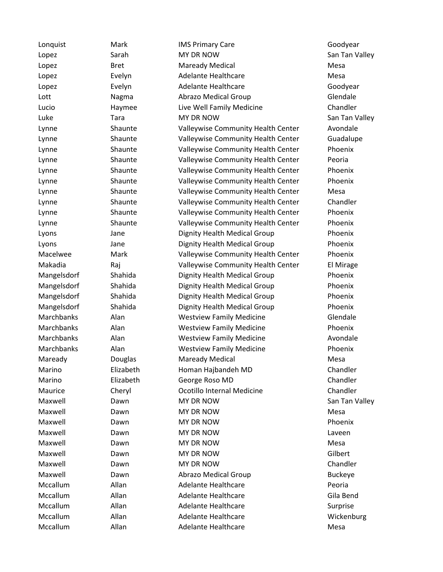Lonquist Mark IMS Primary Care Goodyear Lopez Sarah MY DR NOW San Tan Valley Lopez **Bret Maready Medical** Mesa Lopez **Evelyn** Adelante Healthcare **Mesa** Mesa Lopez Evelyn Adelante Healthcare Goodyear Lott Nagma Abrazo Medical Group Glendale Lucio Haymee Live Well Family Medicine Chandler Luke Tara MY DR NOW San Tan Valley Lynne Shaunte Valleywise Community Health Center Avondale Lynne Shaunte Valleywise Community Health Center Guadalupe Lynne Shaunte Valleywise Community Health Center Phoenix Lynne Shaunte Valleywise Community Health Center Peoria Lynne Shaunte Valleywise Community Health Center Phoenix Lynne Shaunte Valleywise Community Health Center Phoenix Lynne Shaunte Valleywise Community Health Center Mesa Lynne Shaunte Valleywise Community Health Center Chandler Lynne Shaunte Valleywise Community Health Center Phoenix Lynne Shaunte Valleywise Community Health Center Phoenix Lyons Jane Dignity Health Medical Group Phoenix Lyons Jane Dignity Health Medical Group Phoenix Macelwee Mark Valleywise Community Health Center Phoenix Makadia **Raj Raj Valleywise Community Health Center** El Mirage Mangelsdorf Shahida Dignity Health Medical Group Phoenix Mangelsdorf Shahida Dignity Health Medical Group Phoenix Mangelsdorf Shahida Dignity Health Medical Group Phoenix Mangelsdorf Shahida Dignity Health Medical Group Phoenix Marchbanks Alan Westview Family Medicine Glendale Marchbanks Alan Westview Family Medicine Phoenix Marchbanks Alan Alan Westview Family Medicine Avondale Marchbanks Alan Westview Family Medicine Phoenix Maready **Douglas** Maready Medical Maready Mesa Marino Elizabeth Homan Hajbandeh MD Chandler Marino Elizabeth George Roso MD Chandler Maurice Cheryl Ocotillo Internal Medicine Chandler Maxwell Dawn MY DR NOW San Tan Valley Maxwell Dawn MY DR NOW Mesa Maxwell Dawn MY DR NOW Phoenix Maxwell **Dawn** Dawn MY DR NOW **NOW** Laveen Maxwell **Dawn** MY DR NOW **Maxwell** Mesa Maxwell Dawn MY DR NOW Gilbert Maxwell **Chandler** Dawn MY DR NOW **Chandler** Chandler Maxwell Dawn Abrazo Medical Group Buckeye Mccallum Allan Adelante Healthcare Peoria Mccallum Allan Adelante Healthcare Gila Bend Mccallum Allan Adelante Healthcare Surprise Mccallum Allan Adelante Healthcare Mickenburg Adelante Healthcare Mickenburg Mccallum Allan Adelante Healthcare Mesa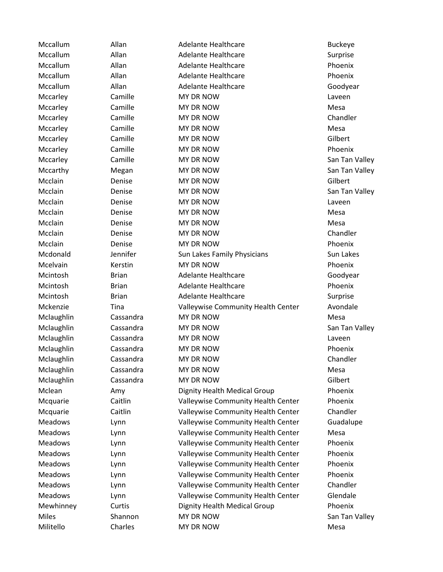Mccallum Allan Adelante Healthcare **Buckeye** Mccallum Allan Adelante Healthcare Surprise Mccallum Allan Adelante Healthcare Phoenix Mccallum Allan Adelante Healthcare Phoenix Mccallum Allan Adelante Healthcare Coodyear Mccarley Camille MY DR NOW Care Laveen Mccarley Camille MY DR NOW Mesa Mccarley Camille MY DR NOW Chandler Mccarley Camille MY DR NOW Mesa Mccarley Camille MY DR NOW CHOOSE Gilbert Mccarley Camille MY DR NOW Controller Communication of the Camille Mccarley Camille MY DR NOW San Tan Valley Mccarthy **Megan** MY DR NOW **MY DR NOW** San Tan Valley Mcclain Denise MY DR NOW Gilbert Mcclain Denise MY DR NOW San Tan Valley Mcclain **Denise** Denise MY DR NOW **Notain** Laveen Mcclain **Denise** MY DR NOW **Mesa** Mcclain Denise MY DR NOW Mesa Mcclain **Denise** Denise MY DR NOW **Chandler** Mcclain **Denise** Denise MY DR NOW **Phoenix** Mcdonald Jennifer Sun Lakes Family Physicians Sun Lakes Mcelvain **Kerstin** MY DR NOW **NOW Phoenix** Mcintosh Brian Adelante Healthcare Goodyear Mcintosh Brian Adelante Healthcare Phoenix Mcintosh Brian Adelante Healthcare Surprise Mckenzie Tina Valleywise Community Health Center Avondale Mclaughlin Cassandra MY DR NOW Mesa Mclaughlin Cassandra MY DR NOW San Tan Valley Mclaughlin Cassandra MY DR NOW Laveen Mclaughlin Cassandra MY DR NOW Phoenix Mclaughlin Cassandra MY DR NOW Chandler Mclaughlin Cassandra MY DR NOW Mesa Mclaughlin Cassandra MY DR NOW Gilbert Mclean Amy Dignity Health Medical Group Phoenix Mcquarie Caitlin Valleywise Community Health Center Phoenix Mcquarie Caitlin Valleywise Community Health Center Chandler Meadows Lynn Valleywise Community Health Center Guadalupe Meadows Lynn Valleywise Community Health Center Mesa Meadows Lynn Valleywise Community Health Center Phoenix Meadows Lynn Valleywise Community Health Center Phoenix Meadows Lynn Valleywise Community Health Center Phoenix Meadows Lynn Valleywise Community Health Center Phoenix Meadows Lynn Valleywise Community Health Center Chandler Meadows Lynn Valleywise Community Health Center Glendale Mewhinney Curtis Dignity Health Medical Group Phoenix Miles Shannon MY DR NOW San Tan Valley Militello Charles MY DR NOW Mesa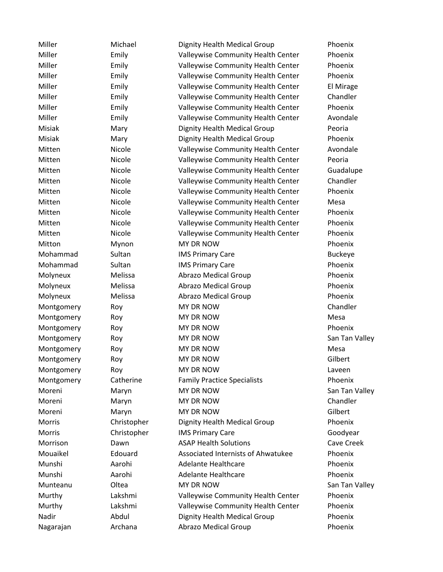Miller Michael Dignity Health Medical Group Phoenix Miller Emily Valleywise Community Health Center Phoenix Miller Emily Valleywise Community Health Center Phoenix Miller Emily Valleywise Community Health Center Phoenix Miller **Emily** Emily Valleywise Community Health Center El Mirage Miller Emily Valleywise Community Health Center Chandler Miller Emily Valleywise Community Health Center Phoenix Miller Emily Valleywise Community Health Center Avondale Misiak Mary Dignity Health Medical Group Peoria Misiak Mary Dignity Health Medical Group Phoenix Mitten **Nicole** Valleywise Community Health Center Avondale Mitten Nicole Valleywise Community Health Center Peoria Mitten **Nicole** Valleywise Community Health Center Guadalupe Mitten **Nicole Nicole** Valleywise Community Health Center Chandler Mitten Micole Valleywise Community Health Center Phoenix Mitten Nicole Valleywise Community Health Center Mesa Mitten **Nicole** Valleywise Community Health Center Phoenix Mitten Micole Nicole Valleywise Community Health Center Phoenix Mitten Micole Valleywise Community Health Center Phoenix Mitton Mynon MY DR NOW **MY DR NOW** Phoenix Mohammad Sultan IMS Primary Care Buckeye Mohammad Sultan IMS Primary Care Phoenix Molyneux Melissa Abrazo Medical Group Phoenix Molyneux Melissa Abrazo Medical Group Phoenix Molyneux Melissa Abrazo Medical Group Phoenix Montgomery Roy NY DR NOW Chandler Montgomery Roy MY DR NOW Nontgomery Roy Montgomery Roy MY DR NOW **NOT ROY Phoenix** Montgomery Roy Roy MY DR NOW NOW San Tan Valley Montgomery Roy MY DR NOW Mesa Montgomery Roy MY DR NOW Gilbert Montgomery Roy NY DR NOW NOW Laveen Montgomery Catherine Family Practice Specialists Phoenix Moreni Maryn MY DR NOW San Tan Valley Moreni Maryn MY DR NOW Chandler Moreni Maryn MY DR NOW Gilbert Morris Christopher Dignity Health Medical Group Phoenix Morris **Christopher IMS Primary Care** Care Goodyear Morrison Dawn ASAP Health Solutions Cave Creek Mouaikel Edouard Associated Internists of Ahwatukee Phoenix Munshi Aarohi Adelante Healthcare Phoenix Munshi Aarohi Adelante Healthcare Phoenix Munteanu Cltea MY DR NOW San Tan Valley Murthy Lakshmi Valleywise Community Health Center Phoenix Murthy Lakshmi Valleywise Community Health Center Phoenix Nadir **Abdul Dignity Health Medical Group** Phoenix Nagarajan Archana Abrazo Medical Group Phoenix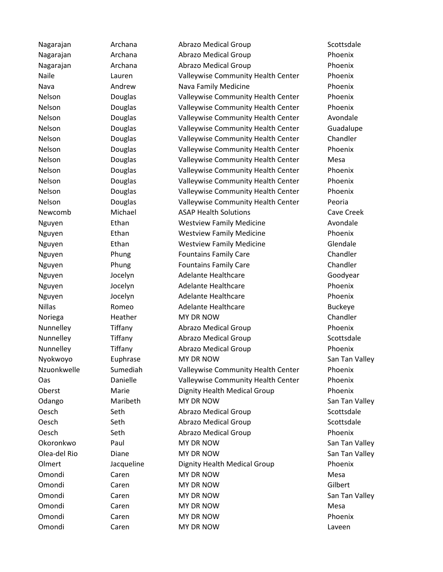Nagarajan Archana Abrazo Medical Group Scottsdale Nagarajan Archana Abrazo Medical Group Phoenix Nagarajan Archana Abrazo Medical Group Phoenix Naile Lauren Valleywise Community Health Center Phoenix Nava **Andrew Nava Family Medicine** Phoenix Nelson **Douglas** Valleywise Community Health Center Phoenix Nelson **Douglas** Valleywise Community Health Center Phoenix Nelson Douglas Valleywise Community Health Center Avondale Nelson Douglas Valleywise Community Health Center Guadalupe Nelson Douglas Valleywise Community Health Center Chandler Nelson **Douglas** Valleywise Community Health Center Phoenix Nelson Douglas Valleywise Community Health Center Mesa Nelson **Douglas** Valleywise Community Health Center Phoenix Nelson **Douglas** Valleywise Community Health Center Phoenix Nelson Douglas Valleywise Community Health Center Phoenix Nelson Douglas Valleywise Community Health Center Peoria Newcomb Michael ASAP Health Solutions Cave Creek Nguyen Ethan Westview Family Medicine Avondale Nguyen Ethan Westview Family Medicine Phoenix Nguyen Ethan Westview Family Medicine Glendale Nguyen **Phung Fountains Family Care** Chandler Nguyen **Phung Fountains Family Care** Chandler Nguyen Jocelyn Adelante Healthcare Goodyear Nguyen Jocelyn Adelante Healthcare Phoenix Nguyen Jocelyn Adelante Healthcare Phoenix Nillas Romeo Adelante Healthcare Buckeye Noriega **Heather** MY DR NOW **Chandler** Chandler Nunnelley Tiffany Abrazo Medical Group Phoenix Nunnelley Tiffany Abrazo Medical Group Scottsdale Nunnelley Tiffany Abrazo Medical Group Phoenix Nyokwoyo Euphrase MY DR NOW San Tan Valley Nzuonkwelle Sumediah Valleywise Community Health Center Phoenix Oas Danielle Valleywise Community Health Center Phoenix Oberst Marie Dignity Health Medical Group Phoenix Odango Maribeth MY DR NOW San Tan Valley Oesch Seth Abrazo Medical Group Scottsdale Oesch Seth Abrazo Medical Group Scottsdale Oesch Seth Abrazo Medical Group Phoenix Okoronkwo Paul MY DR NOW San Tan Valley Olea-del Rio Diane MY DR NOW San Tan Valley Olmert Jacqueline Dignity Health Medical Group Phoenix Omondi Caren MY DR NOW Mesa Omondi Caren MY DR NOW Gilbert Omondi Caren MY DR NOW San Tan Valley Omondi Caren MY DR NOW Computer Mesa Omondi Caren MY DR NOW Phoenix Omondi Caren MY DR NOW Laveen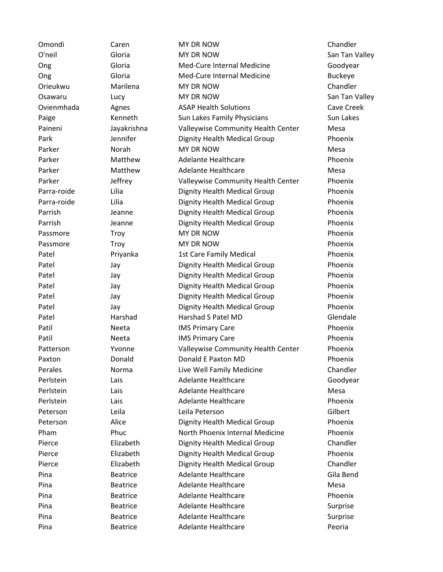| Omondi      | Caren           | <b>MY DR NOW</b>                   | Chandler       |
|-------------|-----------------|------------------------------------|----------------|
| O'neil      | Gloria          | <b>MY DR NOW</b>                   | San Tan Valley |
| Ong         | Gloria          | Med-Cure Internal Medicine         | Goodyear       |
| Ong         | Gloria          | Med-Cure Internal Medicine         | <b>Buckeye</b> |
| Orieukwu    | Marilena        | MY DR NOW                          | Chandler       |
| Osawaru     | Lucy            | MY DR NOW                          | San Tan Valley |
| Ovienmhada  | Agnes           | <b>ASAP Health Solutions</b>       | Cave Creek     |
| Paige       | Kenneth         | Sun Lakes Family Physicians        | Sun Lakes      |
| Paineni     | Jayakrishna     | Valleywise Community Health Center | Mesa           |
| Park        | Jennifer        | Dignity Health Medical Group       | Phoenix        |
| Parker      | Norah           | <b>MY DR NOW</b>                   | Mesa           |
| Parker      | Matthew         | Adelante Healthcare                | Phoenix        |
| Parker      | Matthew         | <b>Adelante Healthcare</b>         | Mesa           |
| Parker      | Jeffrey         | Valleywise Community Health Center | Phoenix        |
| Parra-roide | Lilia           | Dignity Health Medical Group       | Phoenix        |
| Parra-roide | Lilia           | Dignity Health Medical Group       | Phoenix        |
| Parrish     | Jeanne          | Dignity Health Medical Group       | Phoenix        |
| Parrish     | Jeanne          | Dignity Health Medical Group       | Phoenix        |
| Passmore    | Troy            | <b>MY DR NOW</b>                   | Phoenix        |
| Passmore    | Troy            | MY DR NOW                          | Phoenix        |
| Patel       | Priyanka        | 1st Care Family Medical            | Phoenix        |
| Patel       | Jay             | Dignity Health Medical Group       | Phoenix        |
| Patel       | Jay             | Dignity Health Medical Group       | Phoenix        |
| Patel       | Jay             | Dignity Health Medical Group       | Phoenix        |
| Patel       | Jay             | Dignity Health Medical Group       | Phoenix        |
| Patel       | Jay             | Dignity Health Medical Group       | Phoenix        |
| Patel       | Harshad         | Harshad S Patel MD                 | Glendale       |
| Patil       | Neeta           | <b>IMS Primary Care</b>            | Phoenix        |
| Patil       | Neeta           | <b>IMS Primary Care</b>            | Phoenix        |
| Patterson   | Yvonne          | Valleywise Community Health Center | Phoenix        |
| Paxton      | Donald          | Donald E Paxton MD                 | Phoenix        |
| Perales     | Norma           | Live Well Family Medicine          | Chandler       |
| Perlstein   | Lais            | <b>Adelante Healthcare</b>         | Goodyear       |
| Perlstein   | Lais            | <b>Adelante Healthcare</b>         | Mesa           |
| Perlstein   | Lais            | <b>Adelante Healthcare</b>         | Phoenix        |
| Peterson    | Leila           | Leila Peterson                     | Gilbert        |
| Peterson    | Alice           | Dignity Health Medical Group       | Phoenix        |
| Pham        | Phuc            | North Phoenix Internal Medicine    | Phoenix        |
| Pierce      | Elizabeth       | Dignity Health Medical Group       | Chandler       |
| Pierce      | Elizabeth       | Dignity Health Medical Group       | Phoenix        |
| Pierce      | Elizabeth       | Dignity Health Medical Group       | Chandler       |
| Pina        | <b>Beatrice</b> | <b>Adelante Healthcare</b>         | Gila Bend      |
| Pina        | <b>Beatrice</b> | <b>Adelante Healthcare</b>         | Mesa           |
| Pina        | <b>Beatrice</b> | <b>Adelante Healthcare</b>         | Phoenix        |
| Pina        | <b>Beatrice</b> | <b>Adelante Healthcare</b>         | Surprise       |
| Pina        | <b>Beatrice</b> | <b>Adelante Healthcare</b>         | Surprise       |
| Pina        | <b>Beatrice</b> | Adelante Healthcare                | Peoria         |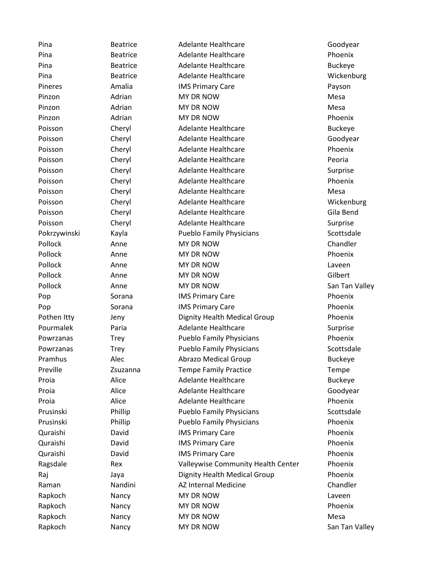Pina Beatrice Adelante Healthcare Goodyear Goodyear Pina Beatrice Adelante Healthcare Phoenix Pina Beatrice Adelante Healthcare Buckeye Pina Beatrice Adelante Healthcare Wickenburg Beatrice Pineres **Amalia** IMS Primary Care **Amalia Payson** Pinzon **Marian** MY DR NOW **Mesa** Mesa Pinzon Adrian MY DR NOW Mesa Pinzon Adrian MY DR NOW Phoenix Poisson Cheryl Adelante Healthcare Cheryl Adelante Healthcare Buckeye Poisson Cheryl Adelante Healthcare Coodyear Poisson Cheryl Adelante Healthcare Cheryl Adelante Healthcare Phoenix Poisson Cheryl Adelante Healthcare Cheryl Adelante Healthcare Peoria Poisson Cheryl Adelante Healthcare Controller Surprise Poisson Cheryl Adelante Healthcare Cheryl Adelante Healthcare Phoenix Poisson Cheryl Adelante Healthcare Cherses Mesa Poisson Cheryl Adelante Healthcare Cheryl Adelante Healthcare Wickenburg Poisson Cheryl Adelante Healthcare Gila Bend Poisson Cheryl Adelante Healthcare Controller Surprise Pokrzywinski Kayla Pueblo Family Physicians Scottsdale Pollock Anne MY DR NOW Chandler Pollock **Anne** Anne MY DR NOW **Phoenix** Pollock Anne MY DR NOW Laveen Pollock Anne MY DR NOW Gilbert Pollock **Anne** Anne MY DR NOW Anne San Tan Valley Pop Sorana IMS Primary Care **IMS Accord Phoenix** Pop Sorana IMS Primary Care **IMS Accord Phoenix** Pothen Itty Jeny Dignity Health Medical Group Phoenix Pourmalek Paria Adelante Healthcare Currents Surprise Powrzanas Trey Pueblo Family Physicians Phoenix Powrzanas Trey Pueblo Family Physicians Scottsdale Pramhus **Alec** Abrazo Medical Group **Buckeye** Preville **Example 25 Zsuzanna** Tempe Family Practice **Tempe** Tempe Proia **Alice** Adelante Healthcare **Buckeye** Buckeye Proia **Alice** Adelante Healthcare **Adelahe Healthcare** Goodyear Proia **Alice** Adelante Healthcare **Adelahe Healthcare** Phoenix Prusinski Phillip Pueblo Family Physicians Scottsdale Prusinski Phillip Pueblo Family Physicians Phoenix Quraishi David IMS Primary Care Phoenix Quraishi David IMS Primary Care Phoenix Quraishi David IMS Primary Care Phoenix Ragsdale **Rex** Ralleywise Community Health Center Phoenix Raj **Jaya** Jaya Dignity Health Medical Group Phoenix Raman **Nandini** AZ Internal Medicine Chandler Rapkoch Nancy MY DR NOW Naveen Rapkoch Mancy MY DR NOW **Rapkoch** Phoenix Rapkoch Nancy MY DR NOW Mesa Rapkoch Nancy MY DR NOW San Tan Valley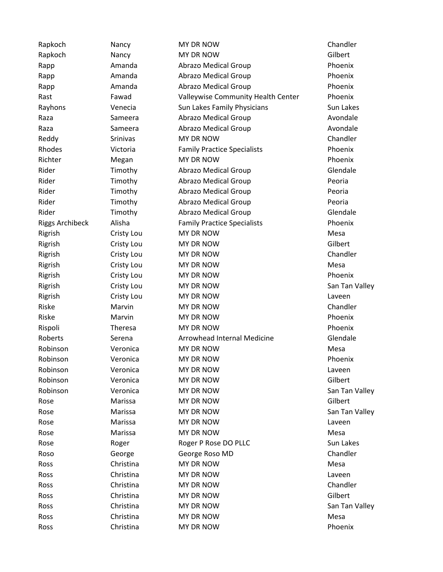| Rapkoch                | Nancy      | MY DR NOW                          | Chandler       |
|------------------------|------------|------------------------------------|----------------|
| Rapkoch                | Nancy      | MY DR NOW                          | Gilbert        |
| Rapp                   | Amanda     | <b>Abrazo Medical Group</b>        | Phoenix        |
| Rapp                   | Amanda     | <b>Abrazo Medical Group</b>        | Phoenix        |
| Rapp                   | Amanda     | <b>Abrazo Medical Group</b>        | Phoenix        |
| Rast                   | Fawad      | Valleywise Community Health Center | Phoenix        |
| Rayhons                | Venecia    | Sun Lakes Family Physicians        | Sun Lakes      |
| Raza                   | Sameera    | <b>Abrazo Medical Group</b>        | Avondale       |
| Raza                   | Sameera    | <b>Abrazo Medical Group</b>        | Avondale       |
| Reddy                  | Srinivas   | MY DR NOW                          | Chandler       |
| Rhodes                 | Victoria   | <b>Family Practice Specialists</b> | Phoenix        |
| Richter                | Megan      | MY DR NOW                          | Phoenix        |
| Rider                  | Timothy    | <b>Abrazo Medical Group</b>        | Glendale       |
| Rider                  | Timothy    | <b>Abrazo Medical Group</b>        | Peoria         |
| Rider                  | Timothy    | <b>Abrazo Medical Group</b>        | Peoria         |
| Rider                  | Timothy    | <b>Abrazo Medical Group</b>        | Peoria         |
| Rider                  | Timothy    | <b>Abrazo Medical Group</b>        | Glendale       |
| <b>Riggs Archibeck</b> | Alisha     | <b>Family Practice Specialists</b> | Phoenix        |
| Rigrish                | Cristy Lou | MY DR NOW                          | Mesa           |
| Rigrish                | Cristy Lou | MY DR NOW                          | Gilbert        |
| Rigrish                | Cristy Lou | MY DR NOW                          | Chandler       |
| Rigrish                | Cristy Lou | MY DR NOW                          | Mesa           |
| Rigrish                | Cristy Lou | MY DR NOW                          | Phoenix        |
| Rigrish                | Cristy Lou | MY DR NOW                          | San Tan Valley |
| Rigrish                | Cristy Lou | MY DR NOW                          | Laveen         |
| Riske                  | Marvin     | MY DR NOW                          | Chandler       |
| Riske                  | Marvin     | MY DR NOW                          | Phoenix        |
| Rispoli                | Theresa    | MY DR NOW                          | Phoenix        |
| Roberts                | Serena     | Arrowhead Internal Medicine        | Glendale       |
| Robinson               | Veronica   | MY DR NOW                          | Mesa           |
| Robinson               | Veronica   | MY DR NOW                          | Phoenix        |
| Robinson               | Veronica   | MY DR NOW                          | Laveen         |
| Robinson               | Veronica   | MY DR NOW                          | Gilbert        |
| Robinson               | Veronica   | MY DR NOW                          | San Tan Valley |
| Rose                   | Marissa    | MY DR NOW                          | Gilbert        |
| Rose                   | Marissa    | MY DR NOW                          | San Tan Valley |
| Rose                   | Marissa    | MY DR NOW                          | Laveen         |
| Rose                   | Marissa    | MY DR NOW                          | Mesa           |
| Rose                   | Roger      | Roger P Rose DO PLLC               | Sun Lakes      |
| Roso                   | George     | George Roso MD                     | Chandler       |
| Ross                   | Christina  | MY DR NOW                          | Mesa           |
| Ross                   | Christina  | MY DR NOW                          | Laveen         |
| Ross                   | Christina  | MY DR NOW                          | Chandler       |
| Ross                   | Christina  | MY DR NOW                          | Gilbert        |
| Ross                   | Christina  | MY DR NOW                          | San Tan Valley |
| Ross                   | Christina  | MY DR NOW                          | Mesa           |
| Ross                   | Christina  | MY DR NOW                          | Phoenix        |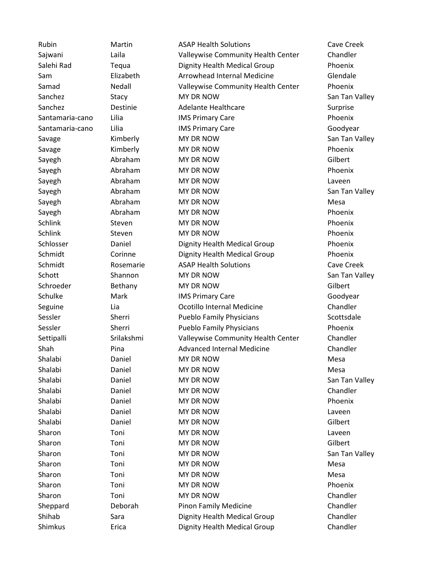Rubin **Martin Martin ASAP Health Solutions** Cave Creek Sajwani Laila Valleywise Community Health Center Chandler Salehi Rad Tequa Dignity Health Medical Group Phoenix Sam **Elizabeth** Arrowhead Internal Medicine Glendale Samad **Nedall Nedall** Valleywise Community Health Center Phoenix Sanchez Stacy Stacy MY DR NOW San Tan Valley Sanchez **Destinie** Adelante Healthcare **Surprise** Surprise Santamaria-cano Lilia IMS Primary Care Phoenix Santamaria-cano Lilia IMS Primary Care Care Goodyear Savage **Kimberly MY DR NOW** San Tan Valley Savage **Kimberly** MY DR NOW **NOW Phoenix** Sayegh Abraham MY DR NOW Gilbert Sayegh **Abraham** MY DR NOW **Abraham** MY DR NOW **Allential Contract Abraham** Phoenix Sayegh **Abraham** MY DR NOW **MY DR NOW Laveen** Sayegh Abraham MY DR NOW San Tan Valley Sayegh **Abraham** MY DR NOW **MICHOLOGY** Mesa Sayegh **Abraham** MY DR NOW **Abraham** MY DR NOW **Allential MY DR NOW** Phoenix Schlink Steven MY DR NOW Schlink Phoenix Schlink Steven MY DR NOW Schlink Phoenix Schlosser Daniel Dignity Health Medical Group Phoenix Schmidt Corinne Dignity Health Medical Group Phoenix Schmidt **Rosemarie** ASAP Health Solutions **Cave Creek** Schott Shannon MY DR NOW San Tan Valley Schroeder Bethany MY DR NOW Gilbert Schulke Mark IMS Primary Care Goodyear Goodyear Seguine Lia Ocotillo Internal Medicine Chandler Sessler Sherri Pueblo Family Physicians Scottsdale Sessler Sherri Pueblo Family Physicians Phoenix Settipalli Srilakshmi Valleywise Community Health Center Chandler Shah Pina Advanced Internal Medicine Chandler Shalabi Daniel MY DR NOW Mesa Shalabi Daniel MY DR NOW Mesa Shalabi Daniel MY DR NOW San Tan Valley Shalabi Daniel MY DR NOW Chandler Shalabi Daniel MY DR NOW Phoenix Shalabi Daniel MY DR NOW Laveen Shalabi Daniel MY DR NOW Gilbert Sharon Toni MY DR NOW Sharon Laveen Sharon Toni MY DR NOW Gilbert Sharon Toni MY DR NOW Sharon San Tan Valley Sharon Toni MY DR NOW Sharon Mesa Sharon Toni MY DR NOW Sharon Mesa Sharon Toni MY DR NOW Sharon Phoenix Sharon Toni MY DR NOW Chandler Sheppard Deborah Pinon Family Medicine Chandler Shihab Sara Dignity Health Medical Group Chandler Shimkus **Example Example 2.** Chandler Chandler Dignity Health Medical Group Chandler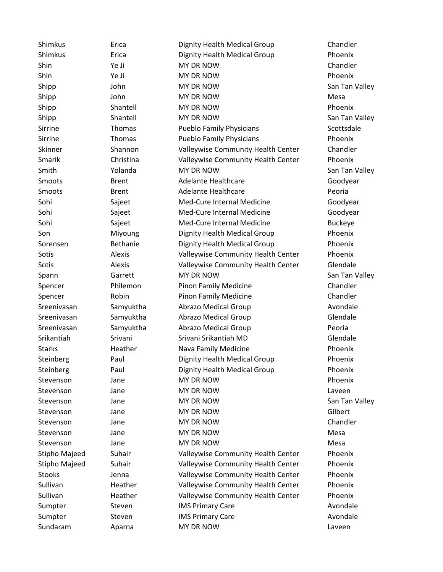Shimkus Erica Dignity Health Medical Group Chandler Shimkus Erica Dignity Health Medical Group Phoenix Shin Ye Ji MY DR NOW Chandler Shin Ye Ji MY DR NOW Shin Phoenix Shipp John MY DR NOW San Tan Valley Shipp John MY DR NOW Shipp Mesa Shipp Shantell MY DR NOW Shipp Phoenix Shipp Shantell MY DR NOW San Tan Valley Sirrine Thomas Pueblo Family Physicians Scottsdale Sirrine Thomas Pueblo Family Physicians Phoenix Skinner Shannon Valleywise Community Health Center Chandler Smarik Christina Valleywise Community Health Center Phoenix Smith The Yolanda MY DR NOW San Tan Valley Smoots Brent Adelante Healthcare Goodyear Smoots **Brent** Brent Adelante Healthcare **Peoria** Sohi Sajeet Med-Cure Internal Medicine Goodyear Sohi Sajeet Med-Cure Internal Medicine Goodyear Sohi Sajeet Med-Cure Internal Medicine Buckeye Son **Miyoung Dignity Health Medical Group** Phoenix Sorensen Bethanie Dignity Health Medical Group Phoenix Sotis **Alexis** Alexis Valleywise Community Health Center Phoenix Sotis **Sotis** Alexis Valleywise Community Health Center Glendale Spann Garrett MY DR NOW San Tan Valley Spencer **Philemon** Pinon Family Medicine **Philemon** Pinon Family Medicine Spencer **Robin** Pinon Family Medicine Chandler Sreenivasan Samyuktha Abrazo Medical Group Avondale Sreenivasan Samyuktha Abrazo Medical Group Glendale Sreenivasan Samyuktha Abrazo Medical Group **Peoria** Srikantiah Srivani Srivani Srikantiah MD Glendale Starks **Heather** Nava Family Medicine **National Accord Phoenix** Steinberg **Paul** Paul Dignity Health Medical Group Phoenix Steinberg Paul Paul Dignity Health Medical Group Phoenix Stevenson Jane MY DR NOW Stevenson Phoenix Stevenson Jane MY DR NOW Stevenson Laveen Stevenson Jane MY DR NOW San Tan Valley Stevenson Jane MY DR NOW Gilbert Stevenson Jane Jane MY DR NOW Stevenson Chandler Stevenson Jane MY DR NOW Mesa Stevenson Jane MY DR NOW Stevenson Mesa Stipho Majeed Suhair Valleywise Community Health Center Phoenix Stipho Majeed Suhair Valleywise Community Health Center Phoenix Stooks Jenna Valleywise Community Health Center Phoenix Sullivan **Heather** Valleywise Community Health Center Phoenix Sullivan **Heather** Valleywise Community Health Center Phoenix Sumpter Steven IMS Primary Care Avondale Sumpter Steven IMS Primary Care Avondale Sundaram MAPAR Aparna MIT DR NOW And All The Laveen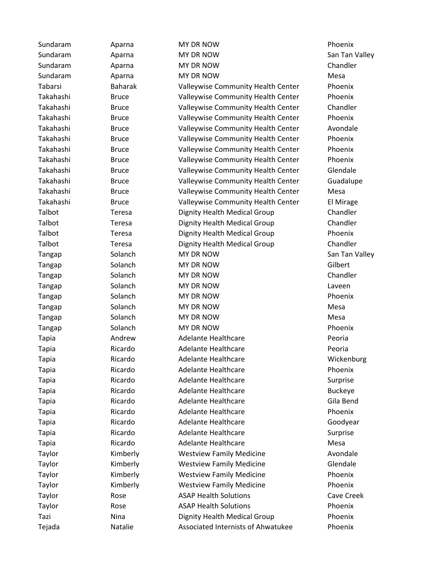| Sundaram     | Aparna         | MY DR NOW                          | Phoenix        |
|--------------|----------------|------------------------------------|----------------|
| Sundaram     | Aparna         | MY DR NOW                          | San Tan Valley |
| Sundaram     | Aparna         | MY DR NOW                          | Chandler       |
| Sundaram     | Aparna         | MY DR NOW                          | Mesa           |
| Tabarsi      | <b>Baharak</b> | Valleywise Community Health Center | Phoenix        |
| Takahashi    | <b>Bruce</b>   | Valleywise Community Health Center | Phoenix        |
| Takahashi    | <b>Bruce</b>   | Valleywise Community Health Center | Chandler       |
| Takahashi    | <b>Bruce</b>   | Valleywise Community Health Center | Phoenix        |
| Takahashi    | <b>Bruce</b>   | Valleywise Community Health Center | Avondale       |
| Takahashi    | <b>Bruce</b>   | Valleywise Community Health Center | Phoenix        |
| Takahashi    | <b>Bruce</b>   | Valleywise Community Health Center | Phoenix        |
| Takahashi    | <b>Bruce</b>   | Valleywise Community Health Center | Phoenix        |
| Takahashi    | <b>Bruce</b>   | Valleywise Community Health Center | Glendale       |
| Takahashi    | <b>Bruce</b>   | Valleywise Community Health Center | Guadalupe      |
| Takahashi    | <b>Bruce</b>   | Valleywise Community Health Center | Mesa           |
| Takahashi    | <b>Bruce</b>   | Valleywise Community Health Center | El Mirage      |
| Talbot       | Teresa         | Dignity Health Medical Group       | Chandler       |
| Talbot       | Teresa         | Dignity Health Medical Group       | Chandler       |
| Talbot       | Teresa         | Dignity Health Medical Group       | Phoenix        |
| Talbot       | Teresa         | Dignity Health Medical Group       | Chandler       |
| Tangap       | Solanch        | MY DR NOW                          | San Tan Valley |
| Tangap       | Solanch        | MY DR NOW                          | Gilbert        |
| Tangap       | Solanch        | MY DR NOW                          | Chandler       |
| Tangap       | Solanch        | MY DR NOW                          | Laveen         |
| Tangap       | Solanch        | MY DR NOW                          | Phoenix        |
| Tangap       | Solanch        | MY DR NOW                          | Mesa           |
| Tangap       | Solanch        | MY DR NOW                          | Mesa           |
| Tangap       | Solanch        | MY DR NOW                          | Phoenix        |
| <b>Tapia</b> | Andrew         | <b>Adelante Healthcare</b>         | Peoria         |
| <b>Tapia</b> | Ricardo        | <b>Adelante Healthcare</b>         | Peoria         |
| <b>Tapia</b> | Ricardo        | <b>Adelante Healthcare</b>         | Wickenburg     |
| <b>Tapia</b> | Ricardo        | <b>Adelante Healthcare</b>         | Phoenix        |
| <b>Tapia</b> | Ricardo        | <b>Adelante Healthcare</b>         | Surprise       |
| <b>Tapia</b> | Ricardo        | <b>Adelante Healthcare</b>         | <b>Buckeye</b> |
| <b>Tapia</b> | Ricardo        | <b>Adelante Healthcare</b>         | Gila Bend      |
| <b>Tapia</b> | Ricardo        | <b>Adelante Healthcare</b>         | Phoenix        |
| <b>Tapia</b> | Ricardo        | <b>Adelante Healthcare</b>         | Goodyear       |
| <b>Tapia</b> | Ricardo        | <b>Adelante Healthcare</b>         | Surprise       |
| <b>Tapia</b> | Ricardo        | Adelante Healthcare                | Mesa           |
| Taylor       | Kimberly       | <b>Westview Family Medicine</b>    | Avondale       |
| Taylor       | Kimberly       | <b>Westview Family Medicine</b>    | Glendale       |
| Taylor       | Kimberly       | <b>Westview Family Medicine</b>    | Phoenix        |
| Taylor       | Kimberly       | <b>Westview Family Medicine</b>    | Phoenix        |
| Taylor       | Rose           | <b>ASAP Health Solutions</b>       | Cave Creek     |
| Taylor       | Rose           | <b>ASAP Health Solutions</b>       | Phoenix        |
| Tazi         | Nina           | Dignity Health Medical Group       | Phoenix        |
| Tejada       | Natalie        | Associated Internists of Ahwatukee | Phoenix        |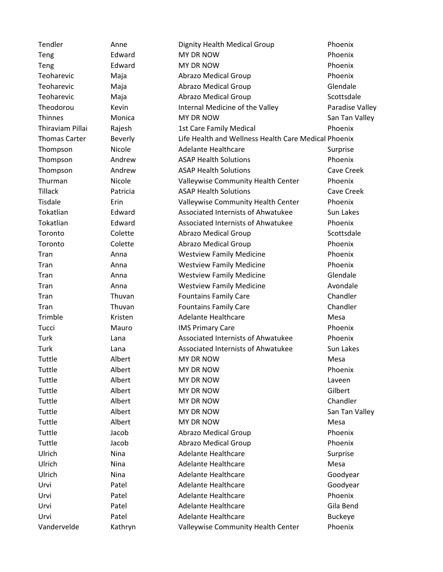| Tendler              | Anne           | Dignity Health Medical Group                         | Phoenix         |
|----------------------|----------------|------------------------------------------------------|-----------------|
| Teng                 | Edward         | MY DR NOW                                            | Phoenix         |
| Teng                 | Edward         | MY DR NOW                                            | Phoenix         |
| Teoharevic           | Maja           | <b>Abrazo Medical Group</b>                          | Phoenix         |
| Teoharevic           | Maja           | <b>Abrazo Medical Group</b>                          | Glendale        |
| Teoharevic           | Maja           | <b>Abrazo Medical Group</b>                          | Scottsdale      |
| Theodorou            | Kevin          | Internal Medicine of the Valley                      | Paradise Valley |
| Thinnes              | Monica         | MY DR NOW                                            | San Tan Valley  |
| Thiraviam Pillai     | Rajesh         | <b>1st Care Family Medical</b>                       | Phoenix         |
| <b>Thomas Carter</b> | <b>Beverly</b> | Life Health and Wellness Health Care Medical Phoenix |                 |
| Thompson             | Nicole         | <b>Adelante Healthcare</b>                           | Surprise        |
| Thompson             | Andrew         | <b>ASAP Health Solutions</b>                         | Phoenix         |
| Thompson             | Andrew         | <b>ASAP Health Solutions</b>                         | Cave Creek      |
| Thurman              | Nicole         | Valleywise Community Health Center                   | Phoenix         |
| <b>Tillack</b>       | Patricia       | <b>ASAP Health Solutions</b>                         | Cave Creek      |
| Tisdale              | Erin           | Valleywise Community Health Center                   | Phoenix         |
| Tokatlian            | Edward         | Associated Internists of Ahwatukee                   | Sun Lakes       |
| Tokatlian            | Edward         | Associated Internists of Ahwatukee                   | Phoenix         |
| Toronto              | Colette        | <b>Abrazo Medical Group</b>                          | Scottsdale      |
| Toronto              | Colette        | <b>Abrazo Medical Group</b>                          | Phoenix         |
| Tran                 | Anna           | <b>Westview Family Medicine</b>                      | Phoenix         |
| Tran                 | Anna           | <b>Westview Family Medicine</b>                      | Phoenix         |
| Tran                 | Anna           | <b>Westview Family Medicine</b>                      | Glendale        |
| Tran                 | Anna           | <b>Westview Family Medicine</b>                      | Avondale        |
| Tran                 | Thuvan         | <b>Fountains Family Care</b>                         | Chandler        |
| Tran                 | Thuvan         | <b>Fountains Family Care</b>                         | Chandler        |
| Trimble              | Kristen        | <b>Adelante Healthcare</b>                           | Mesa            |
| Tucci                | Mauro          | <b>IMS Primary Care</b>                              | Phoenix         |
| Turk                 | Lana           | Associated Internists of Ahwatukee                   | Phoenix         |
| Turk                 | Lana           | Associated Internists of Ahwatukee                   | Sun Lakes       |
| Tuttle               | Albert         | MY DR NOW                                            | Mesa            |
| Tuttle               | Albert         | MY DR NOW                                            | Phoenix         |
| Tuttle               | Albert         | MY DR NOW                                            | Laveen          |
| Tuttle               | Albert         | MY DR NOW                                            | Gilbert         |
| Tuttle               | Albert         | MY DR NOW                                            | Chandler        |
| Tuttle               | Albert         | MY DR NOW                                            | San Tan Valley  |
| Tuttle               | Albert         | MY DR NOW                                            | Mesa            |
| Tuttle               | Jacob          | <b>Abrazo Medical Group</b>                          | Phoenix         |
| Tuttle               | Jacob          | <b>Abrazo Medical Group</b>                          | Phoenix         |
| Ulrich               | Nina           | <b>Adelante Healthcare</b>                           | Surprise        |
| Ulrich               | Nina           | <b>Adelante Healthcare</b>                           | Mesa            |
| Ulrich               | Nina           | <b>Adelante Healthcare</b>                           | Goodyear        |
| Urvi                 | Patel          | <b>Adelante Healthcare</b>                           | Goodyear        |
| Urvi                 | Patel          | <b>Adelante Healthcare</b>                           | Phoenix         |
| Urvi                 | Patel          | <b>Adelante Healthcare</b>                           | Gila Bend       |
| Urvi                 | Patel          | <b>Adelante Healthcare</b>                           | <b>Buckeye</b>  |
| Vandervelde          | Kathryn        | Valleywise Community Health Center                   | Phoenix         |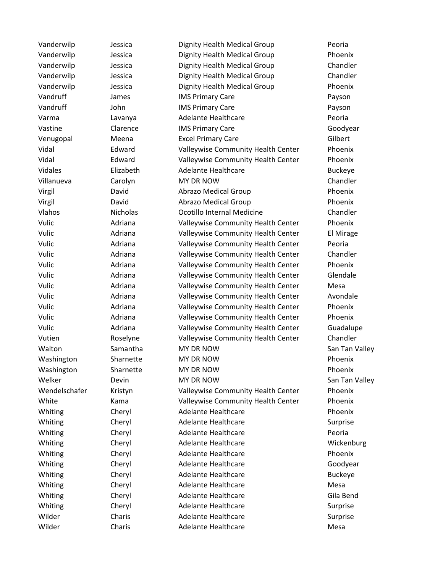Vanderwilp Jessica Dignity Health Medical Group Peoria Vanderwilp Jessica Dignity Health Medical Group Phoenix Vanderwilp Jessica Dignity Health Medical Group Chandler Vanderwilp Jessica Dignity Health Medical Group Chandler Vanderwilp Jessica Dignity Health Medical Group Phoenix Vandruff James IMS Primary Care **IMS Payson** Vandruff **Imsum IMS Primary Care Payson** Varma Lavanya Adelante Healthcare Peoria Vastine Clarence IMS Primary Care Goodyear Venugopal Meena Excel Primary Care Gilbert Gilbert Vidal Edward Valleywise Community Health Center Phoenix Vidal Edward Valleywise Community Health Center Phoenix Vidales Elizabeth Adelante Healthcare Buckeye Villanueva Carolyn MY DR NOW Chandler Virgil David Abrazo Medical Group Phoenix Virgil David Abrazo Medical Group Phoenix Vlahos Nicholas Ocotillo Internal Medicine Chandler Vulic Adriana Valleywise Community Health Center Phoenix Vulic Adriana Valleywise Community Health Center El Mirage Vulic Adriana Valleywise Community Health Center Peoria Vulic Adriana Valleywise Community Health Center Chandler Vulic **Adriana** Valleywise Community Health Center Phoenix Vulic Adriana Valleywise Community Health Center Glendale Vulic Adriana Valleywise Community Health Center Mesa Vulic Adriana Valleywise Community Health Center Avondale Vulic Adriana Valleywise Community Health Center Phoenix Vulic **Adriana** Valleywise Community Health Center Phoenix Vulic Adriana Valleywise Community Health Center Guadalupe Vutien Roselyne Valleywise Community Health Center Chandler Walton Samantha MY DR NOW San Tan Valley Washington Sharnette MY DR NOW Phoenix Washington Sharnette MY DR NOW Phoenix Welker **Devin** Devin MY DR NOW **San Tan Valley** Wendelschafer Kristyn Valleywise Community Health Center Phoenix White Kama Valleywise Community Health Center Phoenix Whiting Cheryl Adelante Healthcare Phoenix Whiting Cheryl Adelante Healthcare Surprise Whiting Cheryl Adelante Healthcare **Peoria** Whiting Cheryl Adelante Healthcare Wickenburg Whiting Cheryl Adelante Healthcare Phoenix Whiting Cheryl Adelante Healthcare Coodyear Whiting Cheryl Adelante Healthcare Buckeye Whiting Cheryl Adelante Healthcare Mesa Whiting Cheryl Adelante Healthcare Gila Bend Whiting Cheryl Adelante Healthcare Surprise Wilder Charis Adelante Healthcare Surprise Wilder Charis Adelante Healthcare Mesa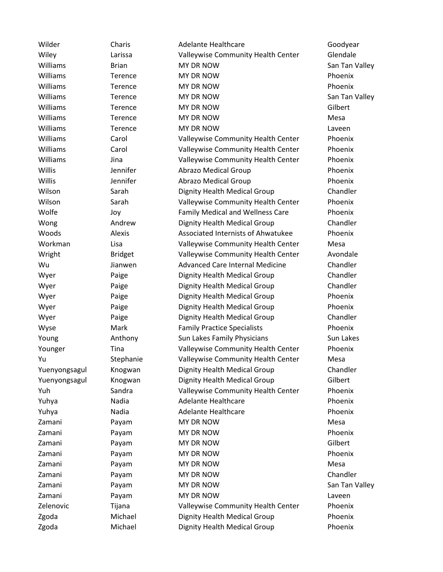| Wilder        | Charis         | <b>Adelante Healthcare</b>              | Goodyear  |
|---------------|----------------|-----------------------------------------|-----------|
| Wiley         | Larissa        | Valleywise Community Health Center      | Glendale  |
| Williams      | <b>Brian</b>   | MY DR NOW                               | San Tan V |
| Williams      | Terence        | MY DR NOW                               | Phoenix   |
| Williams      | Terence        | <b>MY DR NOW</b>                        | Phoenix   |
| Williams      | Terence        | MY DR NOW                               | San Tan V |
| Williams      | Terence        | MY DR NOW                               | Gilbert   |
| Williams      | Terence        | MY DR NOW                               | Mesa      |
| Williams      | Terence        | MY DR NOW                               | Laveen    |
| Williams      | Carol          | Valleywise Community Health Center      | Phoenix   |
| Williams      | Carol          | Valleywise Community Health Center      | Phoenix   |
| Williams      | Jina           | Valleywise Community Health Center      | Phoenix   |
| Willis        | Jennifer       | <b>Abrazo Medical Group</b>             | Phoenix   |
| Willis        | Jennifer       | <b>Abrazo Medical Group</b>             | Phoenix   |
| Wilson        | Sarah          | Dignity Health Medical Group            | Chandler  |
| Wilson        | Sarah          | Valleywise Community Health Center      | Phoenix   |
| Wolfe         | Joy            | <b>Family Medical and Wellness Care</b> | Phoenix   |
| Wong          | Andrew         | Dignity Health Medical Group            | Chandler  |
| Woods         | Alexis         | Associated Internists of Ahwatukee      | Phoenix   |
| Workman       | Lisa           | Valleywise Community Health Center      | Mesa      |
| Wright        | <b>Bridget</b> | Valleywise Community Health Center      | Avondale  |
| Wu            | Jianwen        | <b>Advanced Care Internal Medicine</b>  | Chandler  |
| Wyer          | Paige          | Dignity Health Medical Group            | Chandler  |
| Wyer          | Paige          | Dignity Health Medical Group            | Chandler  |
| Wyer          | Paige          | Dignity Health Medical Group            | Phoenix   |
| Wyer          | Paige          | Dignity Health Medical Group            | Phoenix   |
| Wyer          | Paige          | Dignity Health Medical Group            | Chandler  |
| Wyse          | Mark           | <b>Family Practice Specialists</b>      | Phoenix   |
| Young         | Anthony        | Sun Lakes Family Physicians             | Sun Lakes |
| Younger       | Tina           | Valleywise Community Health Center      | Phoenix   |
| Yu            | Stephanie      | Valleywise Community Health Center      | Mesa      |
| Yuenyongsagul | Knogwan        | Dignity Health Medical Group            | Chandler  |
| Yuenyongsagul | Knogwan        | Dignity Health Medical Group            | Gilbert   |
| Yuh           | Sandra         | Valleywise Community Health Center      | Phoenix   |
| Yuhya         | Nadia          | <b>Adelante Healthcare</b>              | Phoenix   |
| Yuhya         | Nadia          | Adelante Healthcare                     | Phoenix   |
| Zamani        | Payam          | MY DR NOW                               | Mesa      |
| Zamani        | Payam          | MY DR NOW                               | Phoenix   |
| Zamani        | Payam          | MY DR NOW                               | Gilbert   |
| Zamani        | Payam          | MY DR NOW                               | Phoenix   |
| Zamani        | Payam          | MY DR NOW                               | Mesa      |
| Zamani        | Payam          | MY DR NOW                               | Chandler  |
| Zamani        | Payam          | MY DR NOW                               | San Tan V |
| Zamani        | Payam          | MY DR NOW                               | Laveen    |
| Zelenovic     | Tijana         | Valleywise Community Health Center      | Phoenix   |
| Zgoda         | Michael        | Dignity Health Medical Group            | Phoenix   |
| Zgoda         | Michael        | Dignity Health Medical Group            | Phoenix   |

n Tan Valley n Tan Valley n Tan Valley